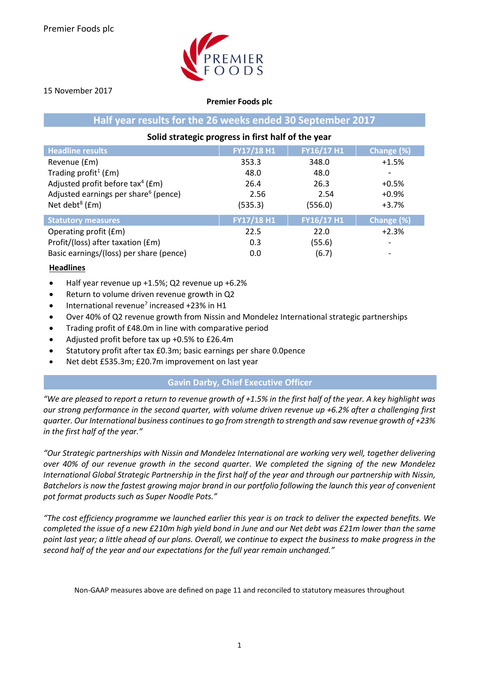

#### 15 November 2017

#### **Premier Foods plc**

### **Half year results for the 26 weeks ended 30 September 2017**

#### **Solid strategic progress in first half of the year Headline results FY17/18 H1 FY16/17 H1 Change (%)** Revenue (£m)  $353.3$   $348.0$   $+1.5%$ <br>Trading profit<sup>1</sup> (£m)  $48.0$   $48.0$ Trading profit<sup>1</sup> (fm) (£m) 48.0 48.0 -

| <b>THE READ IS A READ IN STREET OF THE TIME IS A READ TO THE TIME IS A READ I</b> | 40.U       | 40.U       |            |
|-----------------------------------------------------------------------------------|------------|------------|------------|
| Adjusted profit before tax <sup>4</sup> ( $Em$ )                                  | 26.4       | 26.3       | $+0.5%$    |
| Adjusted earnings per share <sup>6</sup> (pence)                                  | 2.56       | 2.54       | $+0.9%$    |
| Net debt <sup>8</sup> ( $Em$ )                                                    | (535.3)    | (556.0)    | $+3.7%$    |
| <b>Statutory measures</b>                                                         | FY17/18 H1 | FY16/17 H1 | Change (%) |
|                                                                                   |            |            |            |
|                                                                                   |            |            |            |
| Operating profit (£m)                                                             | 22.5       | 22.0       | $+2.3%$    |
| Profit/(loss) after taxation (£m)                                                 | 0.3        | (55.6)     |            |
| Basic earnings/(loss) per share (pence)                                           | 0.0        | (6.7)      |            |

#### **Headlines**

- Half year revenue up +1.5%; Q2 revenue up +6.2%
- Return to volume driven revenue growth in Q2
- $\bullet$  International revenue<sup>7</sup> increased +23% in H1
- Over 40% of Q2 revenue growth from Nissin and Mondelez International strategic partnerships
- Trading profit of £48.0m in line with comparative period
- Adjusted profit before tax up +0.5% to £26.4m
- Statutory profit after tax £0.3m; basic earnings per share 0.0pence
- Net debt £535.3m; £20.7m improvement on last year

## **Gavin Darby, Chief Executive Officer**

*"We are pleased to report a return to revenue growth of +1.5% in the first half of the year. A key highlight was our strong performance in the second quarter, with volume driven revenue up +6.2% after a challenging first quarter. Our International business continues to go from strength to strength and saw revenue growth of +23% in the first half of the year."*

*"Our Strategic partnerships with Nissin and Mondelez International are working very well, together delivering over 40% of our revenue growth in the second quarter. We completed the signing of the new Mondelez International Global Strategic Partnership in the first half of the year and through our partnership with Nissin, Batchelors is now the fastest growing major brand in our portfolio following the launch this year of convenient pot format products such as Super Noodle Pots."*

*"The cost efficiency programme we launched earlier this year is on track to deliver the expected benefits. We completed the issue of a new £210m high yield bond in June and our Net debt was £21m lower than the same point last year; a little ahead of our plans. Overall, we continue to expect the business to make progress in the second half of the year and our expectations for the full year remain unchanged."*

Non-GAAP measures above are defined on page 11 and reconciled to statutory measures throughout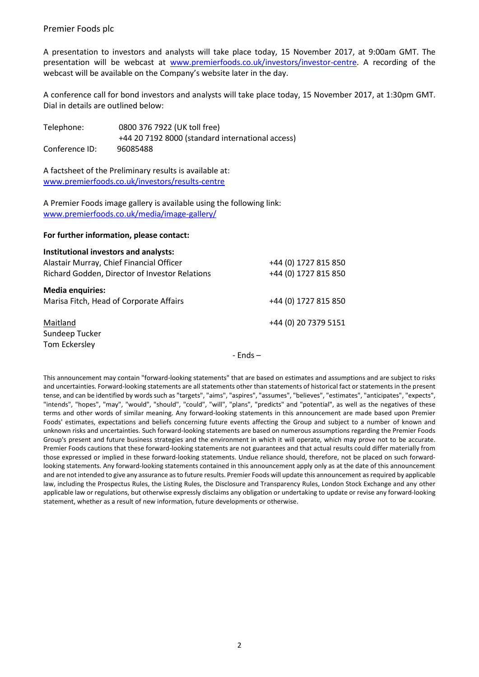A presentation to investors and analysts will take place today, 15 November 2017, at 9:00am GMT. The presentation will be webcast at [www.premierfoods.co.uk/investors/investor-centre.](http://www.premierfoods.co.uk/investors/investor-centre) A recording of the webcast will be available on the Company's website later in the day.

A conference call for bond investors and analysts will take place today, 15 November 2017, at 1:30pm GMT. Dial in details are outlined below:

Telephone: 0800 376 7922 (UK toll free) +44 20 7192 8000 (standard international access) Conference ID: 96085488

A factsheet of the Preliminary results is available at: [www.premierfoods.co.uk/investors/results-centre](http://www.premierfoods.co.uk/investors/results-centre)

A Premier Foods image gallery is available using the following link: [www.premierfoods.co.uk/media/image-gallery/](http://www.premierfoods.co.uk/media/image-gallery/)

#### **For further information, please contact:**

| <b>Institutional investors and analysts:</b>   |                      |
|------------------------------------------------|----------------------|
| Alastair Murray, Chief Financial Officer       | +44 (0) 1727 815 850 |
| Richard Godden, Director of Investor Relations | +44 (0) 1727 815 850 |
| <b>Media enquiries:</b>                        |                      |
| Marisa Fitch, Head of Corporate Affairs        | +44 (0) 1727 815 850 |
| Maitland                                       | +44 (0) 20 7379 5151 |
| Sundeep Tucker                                 |                      |
| Tom Eckersley                                  |                      |

- Ends –

This announcement may contain "forward-looking statements" that are based on estimates and assumptions and are subject to risks and uncertainties. Forward-looking statements are all statements other than statements of historical fact or statements in the present tense, and can be identified by words such as "targets", "aims", "aspires", "assumes", "believes", "estimates", "anticipates", "expects", "intends", "hopes", "may", "would", "should", "could", "will", "plans", "predicts" and "potential", as well as the negatives of these terms and other words of similar meaning. Any forward-looking statements in this announcement are made based upon Premier Foods' estimates, expectations and beliefs concerning future events affecting the Group and subject to a number of known and unknown risks and uncertainties. Such forward-looking statements are based on numerous assumptions regarding the Premier Foods Group's present and future business strategies and the environment in which it will operate, which may prove not to be accurate. Premier Foods cautions that these forward-looking statements are not guarantees and that actual results could differ materially from those expressed or implied in these forward-looking statements. Undue reliance should, therefore, not be placed on such forwardlooking statements. Any forward-looking statements contained in this announcement apply only as at the date of this announcement and are not intended to give any assurance as to future results. Premier Foods will update this announcement as required by applicable law, including the Prospectus Rules, the Listing Rules, the Disclosure and Transparency Rules, London Stock Exchange and any other applicable law or regulations, but otherwise expressly disclaims any obligation or undertaking to update or revise any forward-looking statement, whether as a result of new information, future developments or otherwise.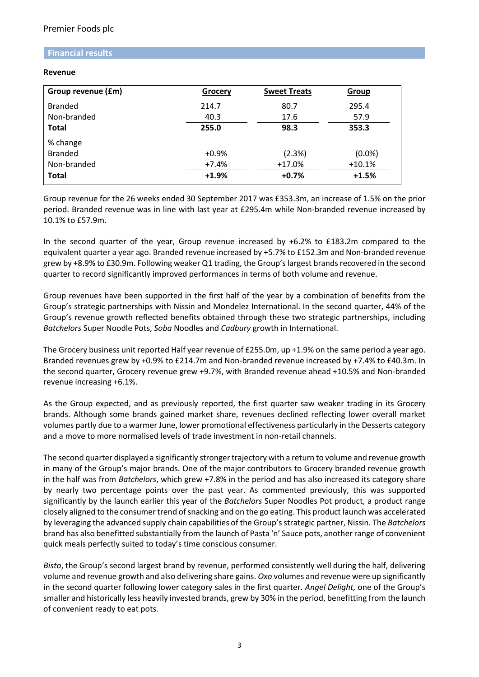### **Financial results**

#### **Revenue**

| Group revenue (£m) | Grocery | <b>Sweet Treats</b> | Group    |
|--------------------|---------|---------------------|----------|
| <b>Branded</b>     | 214.7   | 80.7                | 295.4    |
| Non-branded        | 40.3    | 17.6                | 57.9     |
| <b>Total</b>       | 255.0   | 98.3                | 353.3    |
| % change           |         |                     |          |
| <b>Branded</b>     | $+0.9%$ | (2.3%)              | (0.0%    |
| Non-branded        | $+7.4%$ | $+17.0%$            | $+10.1%$ |
| <b>Total</b>       | $+1.9%$ | $+0.7%$             | $+1.5%$  |

Group revenue for the 26 weeks ended 30 September 2017 was £353.3m, an increase of 1.5% on the prior period. Branded revenue was in line with last year at £295.4m while Non-branded revenue increased by 10.1% to £57.9m.

In the second quarter of the year, Group revenue increased by +6.2% to £183.2m compared to the equivalent quarter a year ago. Branded revenue increased by +5.7% to £152.3m and Non-branded revenue grew by +8.9% to £30.9m. Following weaker Q1 trading, the Group's largest brands recovered in the second quarter to record significantly improved performances in terms of both volume and revenue.

Group revenues have been supported in the first half of the year by a combination of benefits from the Group's strategic partnerships with Nissin and Mondelez International. In the second quarter, 44% of the Group's revenue growth reflected benefits obtained through these two strategic partnerships, including *Batchelors* Super Noodle Pots, *Soba* Noodles and *Cadbury* growth in International.

The Grocery business unit reported Half year revenue of £255.0m, up +1.9% on the same period a year ago. Branded revenues grew by +0.9% to £214.7m and Non-branded revenue increased by +7.4% to £40.3m. In the second quarter, Grocery revenue grew +9.7%, with Branded revenue ahead +10.5% and Non-branded revenue increasing +6.1%.

As the Group expected, and as previously reported, the first quarter saw weaker trading in its Grocery brands. Although some brands gained market share, revenues declined reflecting lower overall market volumes partly due to a warmer June, lower promotional effectiveness particularly in the Desserts category and a move to more normalised levels of trade investment in non-retail channels.

The second quarter displayed a significantly stronger trajectory with a return to volume and revenue growth in many of the Group's major brands. One of the major contributors to Grocery branded revenue growth in the half was from *Batchelors*, which grew +7.8% in the period and has also increased its category share by nearly two percentage points over the past year. As commented previously, this was supported significantly by the launch earlier this year of the *Batchelors* Super Noodles Pot product, a product range closely aligned to the consumer trend of snacking and on the go eating. This product launch was accelerated by leveraging the advanced supply chain capabilities of the Group's strategic partner, Nissin. The *Batchelors* brand has also benefitted substantially from the launch of Pasta 'n' Sauce pots, another range of convenient quick meals perfectly suited to today's time conscious consumer.

*Bisto*, the Group's second largest brand by revenue, performed consistently well during the half, delivering volume and revenue growth and also delivering share gains. *Oxo* volumes and revenue were up significantly in the second quarter following lower category sales in the first quarter. *Angel Delight,* one of the Group's smaller and historically less heavily invested brands, grew by 30% in the period, benefitting from the launch of convenient ready to eat pots.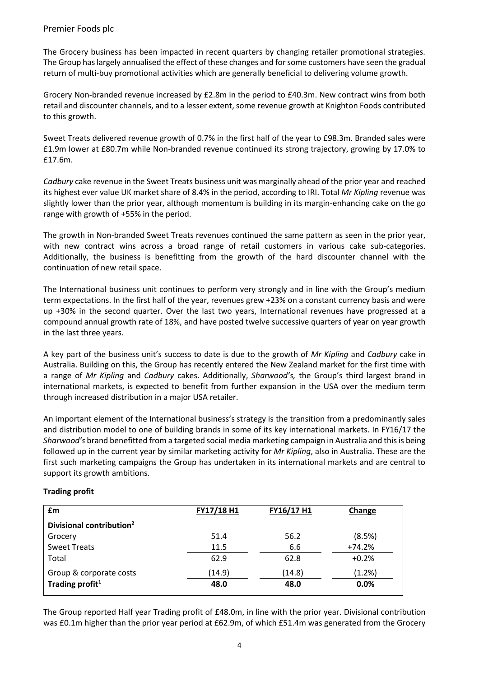The Grocery business has been impacted in recent quarters by changing retailer promotional strategies. The Group has largely annualised the effect of these changes and forsome customers have seen the gradual return of multi-buy promotional activities which are generally beneficial to delivering volume growth.

Grocery Non-branded revenue increased by £2.8m in the period to £40.3m. New contract wins from both retail and discounter channels, and to a lesser extent, some revenue growth at Knighton Foods contributed to this growth.

Sweet Treats delivered revenue growth of 0.7% in the first half of the year to £98.3m. Branded sales were £1.9m lower at £80.7m while Non-branded revenue continued its strong trajectory, growing by 17.0% to £17.6m.

*Cadbury* cake revenue in the Sweet Treats business unit was marginally ahead of the prior year and reached its highest ever value UK market share of 8.4% in the period, according to IRI. Total *Mr Kipling* revenue was slightly lower than the prior year, although momentum is building in its margin-enhancing cake on the go range with growth of +55% in the period.

The growth in Non-branded Sweet Treats revenues continued the same pattern as seen in the prior year, with new contract wins across a broad range of retail customers in various cake sub-categories. Additionally, the business is benefitting from the growth of the hard discounter channel with the continuation of new retail space.

The International business unit continues to perform very strongly and in line with the Group's medium term expectations. In the first half of the year, revenues grew +23% on a constant currency basis and were up +30% in the second quarter. Over the last two years, International revenues have progressed at a compound annual growth rate of 18%, and have posted twelve successive quarters of year on year growth in the last three years.

A key part of the business unit's success to date is due to the growth of *Mr Kipling* and *Cadbury* cake in Australia. Building on this, the Group has recently entered the New Zealand market for the first time with a range of *Mr Kipling* and *Cadbury* cakes. Additionally, *Sharwood's,* the Group's third largest brand in international markets, is expected to benefit from further expansion in the USA over the medium term through increased distribution in a major USA retailer.

An important element of the International business's strategy is the transition from a predominantly sales and distribution model to one of building brands in some of its key international markets. In FY16/17 the *Sharwood's* brand benefitted from a targeted social media marketing campaign in Australia and this is being followed up in the current year by similar marketing activity for *Mr Kipling*, also in Australia. These are the first such marketing campaigns the Group has undertaken in its international markets and are central to support its growth ambitions.

| £m                                   | FY17/18 H1 | FY16/17 H1 | Change   |
|--------------------------------------|------------|------------|----------|
| Divisional contribution <sup>2</sup> |            |            |          |
| Grocery                              | 51.4       | 56.2       | (8.5%)   |
| <b>Sweet Treats</b>                  | 11.5       | 6.6        | $+74.2%$ |
| Total                                | 62.9       | 62.8       | $+0.2%$  |
| Group & corporate costs              | (14.9)     | (14.8)     | (1.2%)   |
| Trading profit <sup>1</sup>          | 48.0       | 48.0       | 0.0%     |

### **Trading profit**

The Group reported Half year Trading profit of £48.0m, in line with the prior year. Divisional contribution was £0.1m higher than the prior year period at £62.9m, of which £51.4m was generated from the Grocery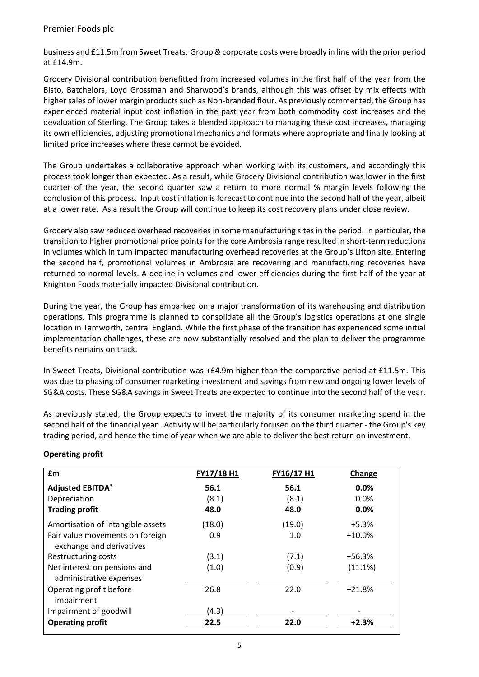business and £11.5m from Sweet Treats. Group & corporate costs were broadly in line with the prior period at £14.9m.

Grocery Divisional contribution benefitted from increased volumes in the first half of the year from the Bisto, Batchelors, Loyd Grossman and Sharwood's brands, although this was offset by mix effects with higher sales of lower margin products such as Non-branded flour. As previously commented, the Group has experienced material input cost inflation in the past year from both commodity cost increases and the devaluation of Sterling. The Group takes a blended approach to managing these cost increases, managing its own efficiencies, adjusting promotional mechanics and formats where appropriate and finally looking at limited price increases where these cannot be avoided.

The Group undertakes a collaborative approach when working with its customers, and accordingly this process took longer than expected. As a result, while Grocery Divisional contribution was lower in the first quarter of the year, the second quarter saw a return to more normal % margin levels following the conclusion of this process. Input cost inflation is forecast to continue into the second half of the year, albeit at a lower rate. As a result the Group will continue to keep its cost recovery plans under close review.

Grocery also saw reduced overhead recoveries in some manufacturing sites in the period. In particular, the transition to higher promotional price points for the core Ambrosia range resulted in short-term reductions in volumes which in turn impacted manufacturing overhead recoveries at the Group's Lifton site. Entering the second half, promotional volumes in Ambrosia are recovering and manufacturing recoveries have returned to normal levels. A decline in volumes and lower efficiencies during the first half of the year at Knighton Foods materially impacted Divisional contribution.

During the year, the Group has embarked on a major transformation of its warehousing and distribution operations. This programme is planned to consolidate all the Group's logistics operations at one single location in Tamworth, central England. While the first phase of the transition has experienced some initial implementation challenges, these are now substantially resolved and the plan to deliver the programme benefits remains on track.

In Sweet Treats, Divisional contribution was +£4.9m higher than the comparative period at £11.5m. This was due to phasing of consumer marketing investment and savings from new and ongoing lower levels of SG&A costs. These SG&A savings in Sweet Treats are expected to continue into the second half of the year.

As previously stated, the Group expects to invest the majority of its consumer marketing spend in the second half of the financial year. Activity will be particularly focused on the third quarter - the Group's key trading period, and hence the time of year when we are able to deliver the best return on investment.

| <b>f</b> m                                                  | FY17/18 H1 | FY16/17 H1 | Change   |
|-------------------------------------------------------------|------------|------------|----------|
| Adjusted EBITDA <sup>3</sup>                                | 56.1       | 56.1       | $0.0\%$  |
| Depreciation                                                | (8.1)      | (8.1)      | $0.0\%$  |
| <b>Trading profit</b>                                       | 48.0       | 48.0       | 0.0%     |
| Amortisation of intangible assets                           | (18.0)     | (19.0)     | +5.3%    |
| Fair value movements on foreign<br>exchange and derivatives | 0.9        | 1.0        | $+10.0%$ |
| Restructuring costs                                         | (3.1)      | (7.1)      | $+56.3%$ |
| Net interest on pensions and<br>administrative expenses     | (1.0)      | (0.9)      | (11.1%)  |
| Operating profit before<br>impairment                       | 26.8       | 22.0       | $+21.8%$ |
| Impairment of goodwill                                      | (4.3)      |            |          |
| <b>Operating profit</b>                                     | 22.5       | 22.0       | $+2.3%$  |

### **Operating profit**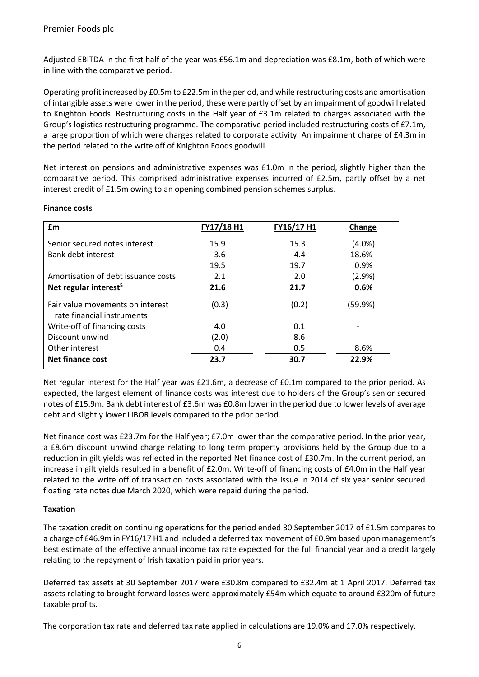Adjusted EBITDA in the first half of the year was £56.1m and depreciation was £8.1m, both of which were in line with the comparative period.

Operating profit increased by £0.5m to £22.5m in the period, and while restructuring costs and amortisation of intangible assets were lower in the period, these were partly offset by an impairment of goodwill related to Knighton Foods. Restructuring costs in the Half year of £3.1m related to charges associated with the Group's logistics restructuring programme. The comparative period included restructuring costs of £7.1m, a large proportion of which were charges related to corporate activity. An impairment charge of £4.3m in the period related to the write off of Knighton Foods goodwill.

Net interest on pensions and administrative expenses was £1.0m in the period, slightly higher than the comparative period. This comprised administrative expenses incurred of £2.5m, partly offset by a net interest credit of £1.5m owing to an opening combined pension schemes surplus.

| £m                                                             | FY17/18 H1 | FY16/17 H1 | Change    |
|----------------------------------------------------------------|------------|------------|-----------|
| Senior secured notes interest                                  | 15.9       | 15.3       | $(4.0\%)$ |
| Bank debt interest                                             | 3.6        | 4.4        | 18.6%     |
|                                                                | 19.5       | 19.7       | 0.9%      |
| Amortisation of debt issuance costs                            | 2.1        | 2.0        | (2.9%)    |
| Net regular interest <sup>5</sup>                              | 21.6       | 21.7       | 0.6%      |
| Fair value movements on interest<br>rate financial instruments | (0.3)      | (0.2)      | (59.9%)   |
| Write-off of financing costs                                   | 4.0        | 0.1        |           |
| Discount unwind                                                | (2.0)      | 8.6        |           |
| Other interest                                                 | 0.4        | 0.5        | 8.6%      |
| Net finance cost                                               | 23.7       | 30.7       | 22.9%     |

### **Finance costs**

Net regular interest for the Half year was £21.6m, a decrease of £0.1m compared to the prior period. As expected, the largest element of finance costs was interest due to holders of the Group's senior secured notes of £15.9m. Bank debt interest of £3.6m was £0.8m lower in the period due to lower levels of average debt and slightly lower LIBOR levels compared to the prior period.

Net finance cost was £23.7m for the Half year; £7.0m lower than the comparative period. In the prior year, a £8.6m discount unwind charge relating to long term property provisions held by the Group due to a reduction in gilt yields was reflected in the reported Net finance cost of £30.7m. In the current period, an increase in gilt yields resulted in a benefit of £2.0m. Write-off of financing costs of £4.0m in the Half year related to the write off of transaction costs associated with the issue in 2014 of six year senior secured floating rate notes due March 2020, which were repaid during the period.

## **Taxation**

The taxation credit on continuing operations for the period ended 30 September 2017 of £1.5m compares to a charge of £46.9m in FY16/17 H1 and included a deferred tax movement of £0.9m based upon management's best estimate of the effective annual income tax rate expected for the full financial year and a credit largely relating to the repayment of Irish taxation paid in prior years.

Deferred tax assets at 30 September 2017 were £30.8m compared to £32.4m at 1 April 2017. Deferred tax assets relating to brought forward losses were approximately £54m which equate to around £320m of future taxable profits.

The corporation tax rate and deferred tax rate applied in calculations are 19.0% and 17.0% respectively.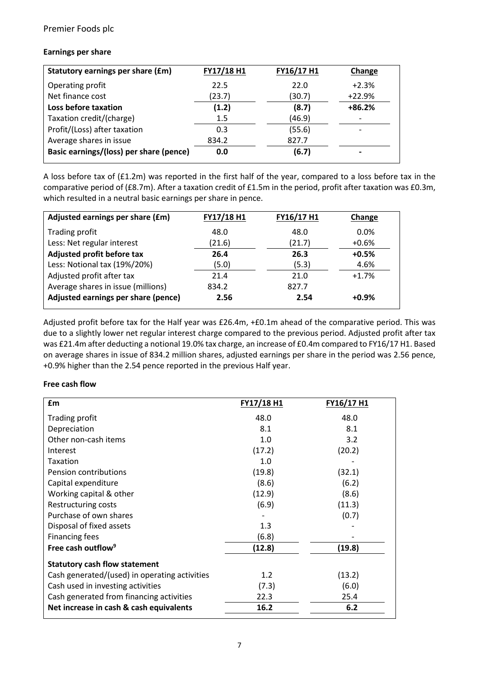#### **Earnings per share**

| Statutory earnings per share (£m)       | FY17/18 H1 | FY16/17 H1 | Change                   |
|-----------------------------------------|------------|------------|--------------------------|
| Operating profit                        | 22.5       | 22.0       | $+2.3%$                  |
| Net finance cost                        | (23.7)     | (30.7)     | $+22.9%$                 |
| Loss before taxation                    | (1.2)      | (8.7)      | $+86.2%$                 |
| Taxation credit/(charge)                | 1.5        | (46.9)     | $\overline{\phantom{a}}$ |
| Profit/(Loss) after taxation            | 0.3        | (55.6)     |                          |
| Average shares in issue                 | 834.2      | 827.7      |                          |
| Basic earnings/(loss) per share (pence) | 0.0        | (6.7)      | $\overline{\phantom{0}}$ |

A loss before tax of (£1.2m) was reported in the first half of the year, compared to a loss before tax in the comparative period of (£8.7m). After a taxation credit of £1.5m in the period, profit after taxation was £0.3m, which resulted in a neutral basic earnings per share in pence.

| Adjusted earnings per share (£m)    | FY17/18 H1 | FY16/17 H1 | Change  |
|-------------------------------------|------------|------------|---------|
| Trading profit                      | 48.0       | 48.0       | $0.0\%$ |
| Less: Net regular interest          | (21.6)     | (21.7)     | $+0.6%$ |
| Adjusted profit before tax          | 26.4       | 26.3       | $+0.5%$ |
| Less: Notional tax (19%/20%)        | (5.0)      | (5.3)      | 4.6%    |
| Adjusted profit after tax           | 21.4       | 21.0       | $+1.7%$ |
| Average shares in issue (millions)  | 834.2      | 827.7      |         |
| Adjusted earnings per share (pence) | 2.56       | 2.54       | $+0.9%$ |

Adjusted profit before tax for the Half year was £26.4m, +£0.1m ahead of the comparative period. This was due to a slightly lower net regular interest charge compared to the previous period. Adjusted profit after tax was £21.4m after deducting a notional 19.0% tax charge, an increase of £0.4m compared to FY16/17 H1. Based on average shares in issue of 834.2 million shares, adjusted earnings per share in the period was 2.56 pence, +0.9% higher than the 2.54 pence reported in the previous Half year.

#### **Free cash flow**

| £m                                            | FY17/18 H1 | <b>FY16/17 H1</b> |
|-----------------------------------------------|------------|-------------------|
| Trading profit                                | 48.0       | 48.0              |
| Depreciation                                  | 8.1        | 8.1               |
| Other non-cash items                          | 1.0        | 3.2               |
| Interest                                      | (17.2)     | (20.2)            |
| <b>Taxation</b>                               | 1.0        |                   |
| <b>Pension contributions</b>                  | (19.8)     | (32.1)            |
| Capital expenditure                           | (8.6)      | (6.2)             |
| Working capital & other                       | (12.9)     | (8.6)             |
| Restructuring costs                           | (6.9)      | (11.3)            |
| Purchase of own shares                        |            | (0.7)             |
| Disposal of fixed assets                      | 1.3        |                   |
| <b>Financing fees</b>                         | (6.8)      |                   |
| Free cash outflow <sup>9</sup>                | (12.8)     | (19.8)            |
| <b>Statutory cash flow statement</b>          |            |                   |
| Cash generated/(used) in operating activities | 1.2        | (13.2)            |
| Cash used in investing activities             | (7.3)      | (6.0)             |
| Cash generated from financing activities      | 22.3       | 25.4              |
| Net increase in cash & cash equivalents       | 16.2       | 6.2               |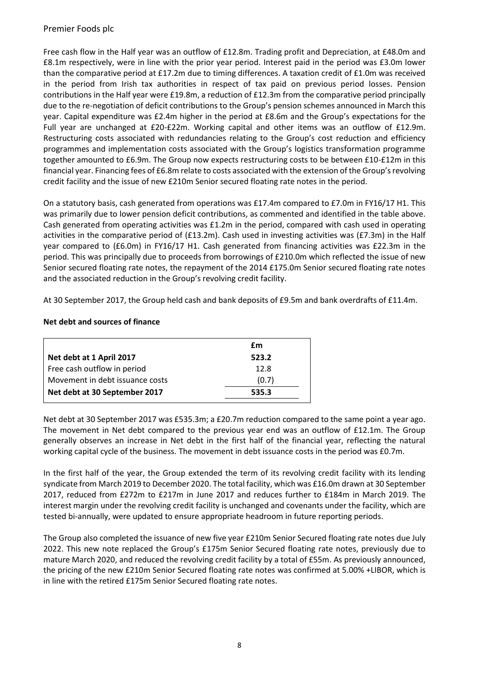Free cash flow in the Half year was an outflow of £12.8m. Trading profit and Depreciation, at £48.0m and £8.1m respectively, were in line with the prior year period. Interest paid in the period was £3.0m lower than the comparative period at £17.2m due to timing differences. A taxation credit of £1.0m was received in the period from Irish tax authorities in respect of tax paid on previous period losses. Pension contributions in the Half year were £19.8m, a reduction of £12.3m from the comparative period principally due to the re-negotiation of deficit contributions to the Group's pension schemes announced in March this year. Capital expenditure was £2.4m higher in the period at £8.6m and the Group's expectations for the Full year are unchanged at £20-£22m. Working capital and other items was an outflow of £12.9m. Restructuring costs associated with redundancies relating to the Group's cost reduction and efficiency programmes and implementation costs associated with the Group's logistics transformation programme together amounted to £6.9m. The Group now expects restructuring costs to be between £10-£12m in this financial year. Financing fees of £6.8m relate to costs associated with the extension of the Group's revolving credit facility and the issue of new £210m Senior secured floating rate notes in the period.

On a statutory basis, cash generated from operations was £17.4m compared to £7.0m in FY16/17 H1. This was primarily due to lower pension deficit contributions, as commented and identified in the table above. Cash generated from operating activities was £1.2m in the period, compared with cash used in operating activities in the comparative period of (£13.2m). Cash used in investing activities was (£7.3m) in the Half year compared to (£6.0m) in FY16/17 H1. Cash generated from financing activities was £22.3m in the period. This was principally due to proceeds from borrowings of £210.0m which reflected the issue of new Senior secured floating rate notes, the repayment of the 2014 £175.0m Senior secured floating rate notes and the associated reduction in the Group's revolving credit facility.

At 30 September 2017, the Group held cash and bank deposits of £9.5m and bank overdrafts of £11.4m.

|                                 | £m    |
|---------------------------------|-------|
| Net debt at 1 April 2017        | 523.2 |
| Free cash outflow in period     | 12.8  |
| Movement in debt issuance costs | (0.7) |
| Net debt at 30 September 2017   | 535.3 |

#### **Net debt and sources of finance**

Net debt at 30 September 2017 was £535.3m; a £20.7m reduction compared to the same point a year ago. The movement in Net debt compared to the previous year end was an outflow of £12.1m. The Group generally observes an increase in Net debt in the first half of the financial year, reflecting the natural working capital cycle of the business. The movement in debt issuance costs in the period was £0.7m.

In the first half of the year, the Group extended the term of its revolving credit facility with its lending syndicate from March 2019 to December 2020. The total facility, which was £16.0m drawn at 30 September 2017, reduced from £272m to £217m in June 2017 and reduces further to £184m in March 2019. The interest margin under the revolving credit facility is unchanged and covenants under the facility, which are tested bi-annually, were updated to ensure appropriate headroom in future reporting periods.

The Group also completed the issuance of new five year £210m Senior Secured floating rate notes due July 2022. This new note replaced the Group's £175m Senior Secured floating rate notes, previously due to mature March 2020, and reduced the revolving credit facility by a total of £55m. As previously announced, the pricing of the new £210m Senior Secured floating rate notes was confirmed at 5.00% +LIBOR, which is in line with the retired £175m Senior Secured floating rate notes.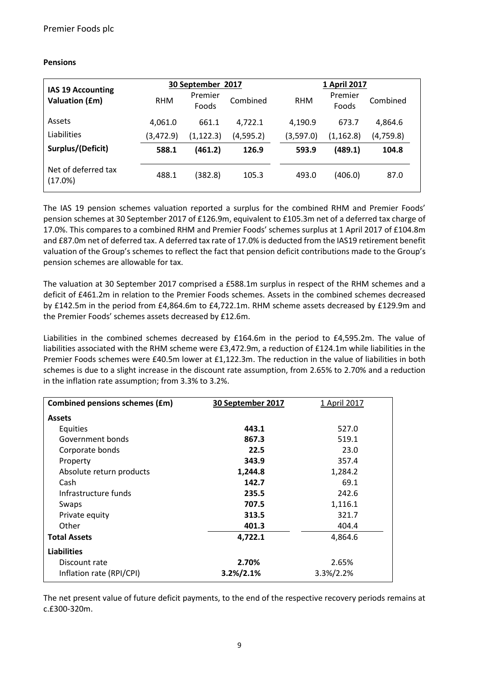### **Pensions**

| IAS 19 Accounting              | 30 September 2017 |                  | 1 April 2017 |            |                  |           |
|--------------------------------|-------------------|------------------|--------------|------------|------------------|-----------|
| <b>Valuation (£m)</b>          | <b>RHM</b>        | Premier<br>Foods | Combined     | <b>RHM</b> | Premier<br>Foods | Combined  |
| Assets                         | 4,061.0           | 661.1            | 4,722.1      | 4,190.9    | 673.7            | 4,864.6   |
| Liabilities                    | (3,472.9)         | (1, 122.3)       | (4,595.2)    | (3,597.0)  | (1, 162.8)       | (4,759.8) |
| Surplus/(Deficit)              | 588.1             | (461.2)          | 126.9        | 593.9      | (489.1)          | 104.8     |
| Net of deferred tax<br>(17.0%) | 488.1             | (382.8)          | 105.3        | 493.0      | (406.0)          | 87.0      |

The IAS 19 pension schemes valuation reported a surplus for the combined RHM and Premier Foods' pension schemes at 30 September 2017 of £126.9m, equivalent to £105.3m net of a deferred tax charge of 17.0%. This compares to a combined RHM and Premier Foods' schemes surplus at 1 April 2017 of £104.8m and £87.0m net of deferred tax. A deferred tax rate of 17.0% is deducted from the IAS19 retirement benefit valuation of the Group's schemes to reflect the fact that pension deficit contributions made to the Group's pension schemes are allowable for tax.

The valuation at 30 September 2017 comprised a £588.1m surplus in respect of the RHM schemes and a deficit of £461.2m in relation to the Premier Foods schemes. Assets in the combined schemes decreased by £142.5m in the period from £4,864.6m to £4,722.1m. RHM scheme assets decreased by £129.9m and the Premier Foods' schemes assets decreased by £12.6m.

Liabilities in the combined schemes decreased by £164.6m in the period to £4,595.2m. The value of liabilities associated with the RHM scheme were £3,472.9m, a reduction of £124.1m while liabilities in the Premier Foods schemes were £40.5m lower at £1,122.3m. The reduction in the value of liabilities in both schemes is due to a slight increase in the discount rate assumption, from 2.65% to 2.70% and a reduction in the inflation rate assumption; from 3.3% to 3.2%.

| Combined pensions schemes (£m) | 30 September 2017 | 1 April 2017 |
|--------------------------------|-------------------|--------------|
| <b>Assets</b>                  |                   |              |
| <b>Equities</b>                | 443.1             | 527.0        |
| Government bonds               | 867.3             | 519.1        |
| Corporate bonds                | 22.5              | 23.0         |
| Property                       | 343.9             | 357.4        |
| Absolute return products       | 1,244.8           | 1,284.2      |
| Cash                           | 142.7             | 69.1         |
| Infrastructure funds           | 235.5             | 242.6        |
| Swaps                          | 707.5             | 1,116.1      |
| Private equity                 | 313.5             | 321.7        |
| Other                          | 401.3             | 404.4        |
| <b>Total Assets</b>            | 4,722.1           | 4,864.6      |
| <b>Liabilities</b>             |                   |              |
| Discount rate                  | 2.70%             | 2.65%        |
| Inflation rate (RPI/CPI)       | 3.2%/2.1%         | 3.3%/2.2%    |

The net present value of future deficit payments, to the end of the respective recovery periods remains at c.£300-320m.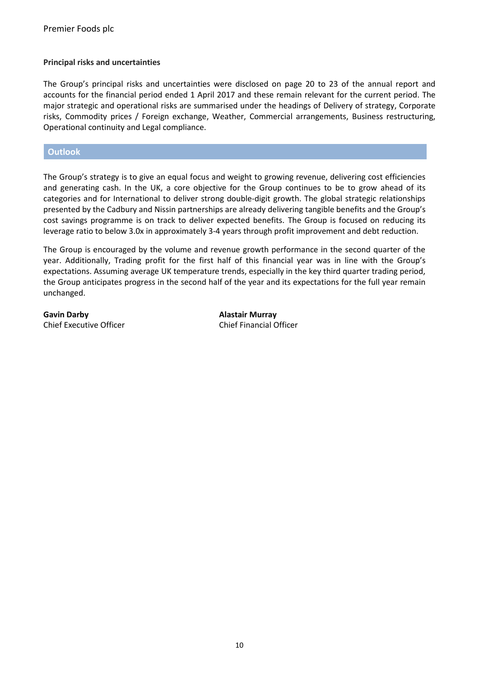#### **Principal risks and uncertainties**

The Group's principal risks and uncertainties were disclosed on page 20 to 23 of the annual report and accounts for the financial period ended 1 April 2017 and these remain relevant for the current period. The major strategic and operational risks are summarised under the headings of Delivery of strategy, Corporate risks, Commodity prices / Foreign exchange, Weather, Commercial arrangements, Business restructuring, Operational continuity and Legal compliance.

**Outlook**

The Group's strategy is to give an equal focus and weight to growing revenue, delivering cost efficiencies and generating cash. In the UK, a core objective for the Group continues to be to grow ahead of its categories and for International to deliver strong double-digit growth. The global strategic relationships presented by the Cadbury and Nissin partnerships are already delivering tangible benefits and the Group's cost savings programme is on track to deliver expected benefits. The Group is focused on reducing its leverage ratio to below 3.0x in approximately 3-4 years through profit improvement and debt reduction.

The Group is encouraged by the volume and revenue growth performance in the second quarter of the year. Additionally, Trading profit for the first half of this financial year was in line with the Group's expectations. Assuming average UK temperature trends, especially in the key third quarter trading period, the Group anticipates progress in the second half of the year and its expectations for the full year remain unchanged.

**Gavin Darby Alastair Murray** Chief Executive Officer Chief Financial Officer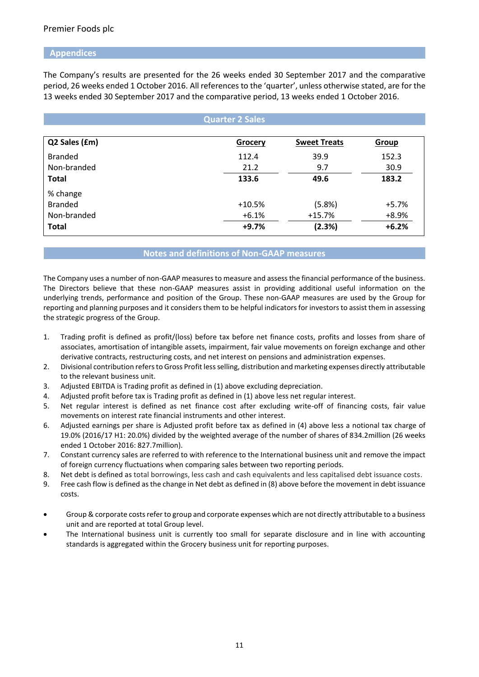#### **Appendices**

The Company's results are presented for the 26 weeks ended 30 September 2017 and the comparative period, 26 weeks ended 1 October 2016. All references to the 'quarter', unless otherwise stated, are for the 13 weeks ended 30 September 2017 and the comparative period, 13 weeks ended 1 October 2016.

|                | <b>Quarter 2 Sales</b> |                     |         |
|----------------|------------------------|---------------------|---------|
|                |                        |                     |         |
| Q2 Sales (£m)  | <b>Grocery</b>         | <b>Sweet Treats</b> | Group   |
| <b>Branded</b> | 112.4                  | 39.9                | 152.3   |
| Non-branded    | 21.2                   | 9.7                 | 30.9    |
| <b>Total</b>   | 133.6                  | 49.6                | 183.2   |
| % change       |                        |                     |         |
| <b>Branded</b> | $+10.5%$               | (5.8%)              | $+5.7%$ |
| Non-branded    | $+6.1%$                | $+15.7%$            | $+8.9%$ |
| <b>Total</b>   | $+9.7%$                | (2.3%)              | $+6.2%$ |

#### **Notes and definitions of Non-GAAP measures**

The Company uses a number of non-GAAP measures to measure and assess the financial performance of the business. The Directors believe that these non-GAAP measures assist in providing additional useful information on the underlying trends, performance and position of the Group. These non-GAAP measures are used by the Group for reporting and planning purposes and it considers them to be helpful indicators for investors to assist them in assessing the strategic progress of the Group.

- 1. Trading profit is defined as profit/(loss) before tax before net finance costs, profits and losses from share of associates, amortisation of intangible assets, impairment, fair value movements on foreign exchange and other derivative contracts, restructuring costs, and net interest on pensions and administration expenses.
- 2. Divisional contribution refers to Gross Profit less selling, distribution and marketing expenses directly attributable to the relevant business unit.
- 3. Adjusted EBITDA is Trading profit as defined in (1) above excluding depreciation.
- 4. Adjusted profit before tax is Trading profit as defined in (1) above less net regular interest.
- 5. Net regular interest is defined as net finance cost after excluding write-off of financing costs, fair value movements on interest rate financial instruments and other interest.
- 6. Adjusted earnings per share is Adjusted profit before tax as defined in (4) above less a notional tax charge of 19.0% (2016/17 H1: 20.0%) divided by the weighted average of the number of shares of 834.2million (26 weeks ended 1 October 2016: 827.7million).
- 7. Constant currency sales are referred to with reference to the International business unit and remove the impact of foreign currency fluctuations when comparing sales between two reporting periods.
- 8. Net debt is defined as total borrowings, less cash and cash equivalents and less capitalised debt issuance costs.
- 9. Free cash flow is defined as the change in Net debt as defined in (8) above before the movement in debt issuance costs.
- Group & corporate costs refer to group and corporate expenses which are not directly attributable to a business unit and are reported at total Group level.
- The International business unit is currently too small for separate disclosure and in line with accounting standards is aggregated within the Grocery business unit for reporting purposes.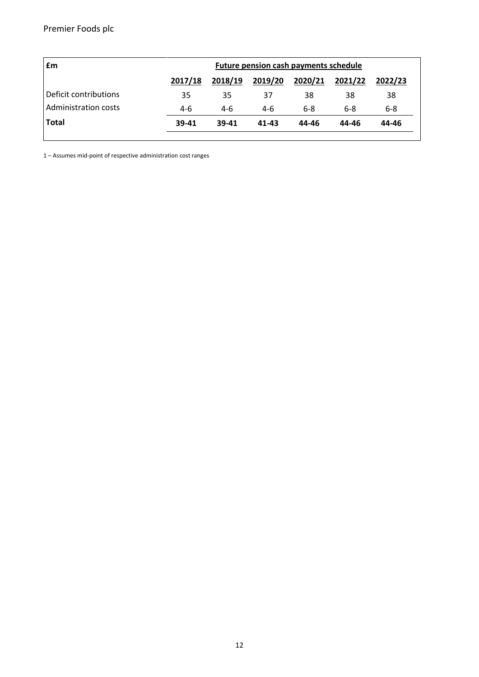| £m                    | <b>Future pension cash payments schedule</b> |         |         |         |         |         |
|-----------------------|----------------------------------------------|---------|---------|---------|---------|---------|
|                       | 2017/18                                      | 2018/19 | 2019/20 | 2020/21 | 2021/22 | 2022/23 |
| Deficit contributions | 35                                           | 35      | 37      | 38      | 38      | 38      |
| Administration costs  | 4-6                                          | 4-6     | 4-6     | $6 - 8$ | $6 - 8$ | $6 - 8$ |
| <b>Total</b>          | 39-41                                        | 39-41   | 41-43   | 44-46   | 44-46   | 44-46   |
|                       |                                              |         |         |         |         |         |

1 – Assumes mid-point of respective administration cost ranges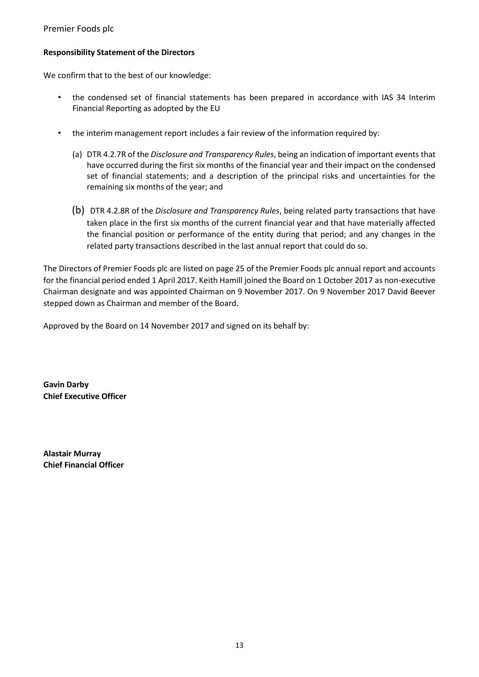### **Responsibility Statement of the Directors**

We confirm that to the best of our knowledge:

- the condensed set of financial statements has been prepared in accordance with IAS 34 Interim Financial Reporting as adopted by the EU
- the interim management report includes a fair review of the information required by:
	- (a) DTR 4.2.7R of the *Disclosure and Transparency Rules*, being an indication of important events that have occurred during the first six months of the financial year and their impact on the condensed set of financial statements; and a description of the principal risks and uncertainties for the remaining six months of the year; and
	- (b) DTR 4.2.8R of the *Disclosure and Transparency Rules*, being related party transactions that have taken place in the first six months of the current financial year and that have materially affected the financial position or performance of the entity during that period; and any changes in the related party transactions described in the last annual report that could do so.

The Directors of Premier Foods plc are listed on page 25 of the Premier Foods plc annual report and accounts for the financial period ended 1 April 2017. Keith Hamill joined the Board on 1 October 2017 as non-executive Chairman designate and was appointed Chairman on 9 November 2017. On 9 November 2017 David Beever stepped down as Chairman and member of the Board.

Approved by the Board on 14 November 2017 and signed on its behalf by:

**Gavin Darby Chief Executive Officer**

**Alastair Murray Chief Financial Officer**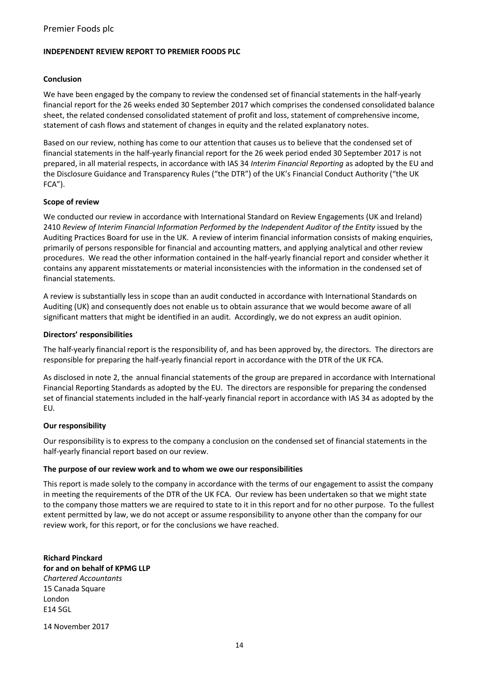#### **INDEPENDENT REVIEW REPORT TO PREMIER FOODS PLC**

#### **Conclusion**

We have been engaged by the company to review the condensed set of financial statements in the half-yearly financial report for the 26 weeks ended 30 September 2017 which comprises the condensed consolidated balance sheet, the related condensed consolidated statement of profit and loss, statement of comprehensive income, statement of cash flows and statement of changes in equity and the related explanatory notes.

Based on our review, nothing has come to our attention that causes us to believe that the condensed set of financial statements in the half-yearly financial report for the 26 week period ended 30 September 2017 is not prepared, in all material respects, in accordance with IAS 34 *Interim Financial Reporting* as adopted by the EU and the Disclosure Guidance and Transparency Rules ("the DTR") of the UK's Financial Conduct Authority ("the UK FCA").

#### **Scope of review**

We conducted our review in accordance with International Standard on Review Engagements (UK and Ireland) 2410 *Review of Interim Financial Information Performed by the Independent Auditor of the Entity issued by the* Auditing Practices Board for use in the UK. A review of interim financial information consists of making enquiries, primarily of persons responsible for financial and accounting matters, and applying analytical and other review procedures. We read the other information contained in the half-yearly financial report and consider whether it contains any apparent misstatements or material inconsistencies with the information in the condensed set of financial statements.

A review is substantially less in scope than an audit conducted in accordance with International Standards on Auditing (UK) and consequently does not enable us to obtain assurance that we would become aware of all significant matters that might be identified in an audit. Accordingly, we do not express an audit opinion.

#### **Directors' responsibilities**

The half-yearly financial report is the responsibility of, and has been approved by, the directors. The directors are responsible for preparing the half-yearly financial report in accordance with the DTR of the UK FCA.

As disclosed in note 2, the annual financial statements of the group are prepared in accordance with International Financial Reporting Standards as adopted by the EU. The directors are responsible for preparing the condensed set of financial statements included in the half-yearly financial report in accordance with IAS 34 as adopted by the EU*.* 

#### **Our responsibility**

Our responsibility is to express to the company a conclusion on the condensed set of financial statements in the half-yearly financial report based on our review.

#### **The purpose of our review work and to whom we owe our responsibilities**

This report is made solely to the company in accordance with the terms of our engagement to assist the company in meeting the requirements of the DTR of the UK FCA. Our review has been undertaken so that we might state to the company those matters we are required to state to it in this report and for no other purpose. To the fullest extent permitted by law, we do not accept or assume responsibility to anyone other than the company for our review work, for this report, or for the conclusions we have reached.

**Richard Pinckard for and on behalf of KPMG LLP**  *Chartered Accountants* 15 Canada Square London E14 5GL

14 November 2017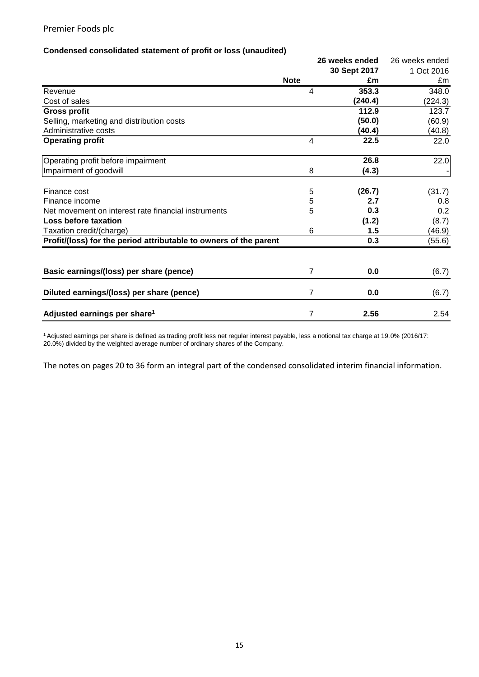#### **Condensed consolidated statement of profit or loss (unaudited)**

|                                                                   |                | 26 weeks ended | 26 weeks ended |
|-------------------------------------------------------------------|----------------|----------------|----------------|
|                                                                   |                | 30 Sept 2017   | 1 Oct 2016     |
|                                                                   | <b>Note</b>    | £m             | £m             |
| Revenue                                                           | 4              | 353.3          | 348.0          |
| Cost of sales                                                     |                | (240.4)        | (224.3)        |
| <b>Gross profit</b>                                               |                | 112.9          | 123.7          |
| Selling, marketing and distribution costs                         |                | (50.0)         | (60.9)         |
| Administrative costs                                              |                | (40.4)         | (40.8)         |
| <b>Operating profit</b>                                           | $\overline{4}$ | 22.5           | 22.0           |
| Operating profit before impairment                                |                | 26.8           | 22.0           |
| Impairment of goodwill                                            | 8              | (4.3)          |                |
| Finance cost                                                      | 5              | (26.7)         | (31.7)         |
| Finance income                                                    | 5              | 2.7            | 0.8            |
| Net movement on interest rate financial instruments               | 5              | 0.3            | 0.2            |
| Loss before taxation                                              |                | (1.2)          | (8.7)          |
| Taxation credit/(charge)                                          | 6              | 1.5            | (46.9)         |
| Profit/(loss) for the period attributable to owners of the parent |                | 0.3            | (55.6)         |
| Basic earnings/(loss) per share (pence)                           | 7              | 0.0            | (6.7)          |
| Diluted earnings/(loss) per share (pence)                         | 7              | 0.0            | (6.7)          |
| Adjusted earnings per share <sup>1</sup>                          | 7              | 2.56           | 2.54           |

<sup>1</sup>Adjusted earnings per share is defined as trading profit less net regular interest payable, less a notional tax charge at 19.0% (2016/17: 20.0%) divided by the weighted average number of ordinary shares of the Company.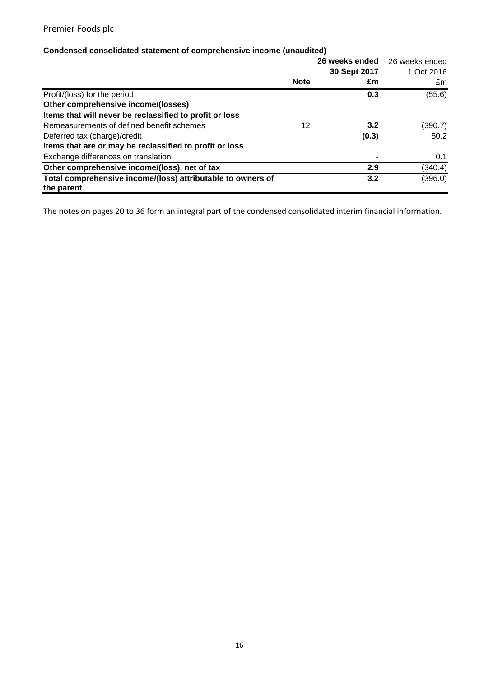# **Condensed consolidated statement of comprehensive income (unaudited)**

|                                                                           |             | 26 weeks ended | 26 weeks ended |
|---------------------------------------------------------------------------|-------------|----------------|----------------|
|                                                                           |             | 30 Sept 2017   | 1 Oct 2016     |
|                                                                           | <b>Note</b> | £m             | £m             |
| Profit/(loss) for the period                                              |             | 0.3            | (55.6)         |
| Other comprehensive income/(losses)                                       |             |                |                |
| Items that will never be reclassified to profit or loss                   |             |                |                |
| Remeasurements of defined benefit schemes                                 | 12          | 3.2            | (390.7)        |
| Deferred tax (charge)/credit                                              |             | (0.3)          | 50.2           |
| Items that are or may be reclassified to profit or loss                   |             |                |                |
| Exchange differences on translation                                       |             |                | 0.1            |
| Other comprehensive income/(loss), net of tax                             |             | 2.9            | (340.4)        |
| Total comprehensive income/(loss) attributable to owners of<br>the parent |             | 3.2            | (396.0)        |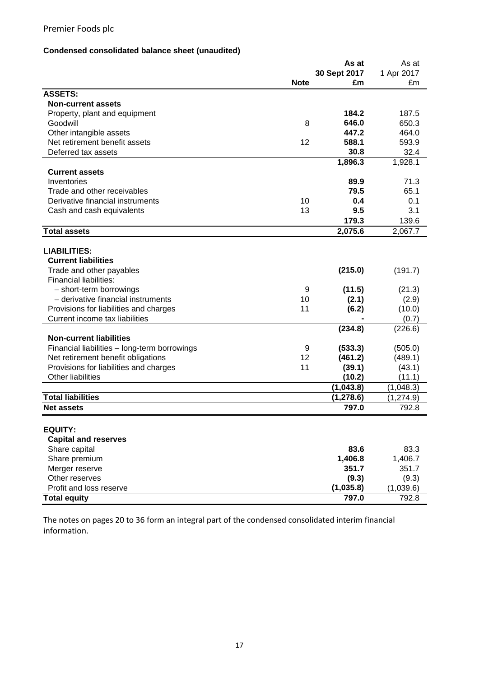# **Condensed consolidated balance sheet (unaudited)**

|                                              |             | As at        | As at      |
|----------------------------------------------|-------------|--------------|------------|
|                                              |             | 30 Sept 2017 | 1 Apr 2017 |
|                                              | <b>Note</b> | £m           | £m         |
| <b>ASSETS:</b>                               |             |              |            |
| <b>Non-current assets</b>                    |             |              |            |
| Property, plant and equipment                |             | 184.2        | 187.5      |
| Goodwill                                     | 8           | 646.0        | 650.3      |
| Other intangible assets                      |             | 447.2        | 464.0      |
| Net retirement benefit assets                | 12          | 588.1        | 593.9      |
| Deferred tax assets                          |             | 30.8         | 32.4       |
|                                              |             | 1,896.3      | 1,928.1    |
| <b>Current assets</b>                        |             |              |            |
| Inventories                                  |             | 89.9         | 71.3       |
| Trade and other receivables                  |             | 79.5         | 65.1       |
| Derivative financial instruments             | 10          | 0.4          | 0.1        |
| Cash and cash equivalents                    | 13          | 9.5          | 3.1        |
|                                              |             | 179.3        | 139.6      |
| <b>Total assets</b>                          |             | 2,075.6      | 2,067.7    |
|                                              |             |              |            |
| <b>LIABILITIES:</b>                          |             |              |            |
| <b>Current liabilities</b>                   |             |              |            |
| Trade and other payables                     |             | (215.0)      | (191.7)    |
| <b>Financial liabilities:</b>                |             |              |            |
| - short-term borrowings                      | 9           | (11.5)       | (21.3)     |
| - derivative financial instruments           | 10          | (2.1)        | (2.9)      |
| Provisions for liabilities and charges       | 11          | (6.2)        | (10.0)     |
| Current income tax liabilities               |             |              | (0.7)      |
|                                              |             | (234.8)      | (226.6)    |
| <b>Non-current liabilities</b>               |             |              |            |
| Financial liabilities - long-term borrowings | 9           | (533.3)      | (505.0)    |
| Net retirement benefit obligations           | 12          | (461.2)      | (489.1)    |
| Provisions for liabilities and charges       | 11          | (39.1)       | (43.1)     |
| <b>Other liabilities</b>                     |             | (10.2)       | (11.1)     |
|                                              |             | (1,043.8)    | (1,048.3)  |
| <b>Total liabilities</b>                     |             | (1, 278.6)   | (1, 274.9) |
| <b>Net assets</b>                            |             | 797.0        | 792.8      |
|                                              |             |              |            |
| <b>EQUITY:</b>                               |             |              |            |
| <b>Capital and reserves</b>                  |             |              |            |
| Share capital                                |             | 83.6         | 83.3       |
| Share premium                                |             | 1,406.8      | 1,406.7    |
| Merger reserve                               |             | 351.7        | 351.7      |
| Other reserves                               |             | (9.3)        | (9.3)      |
| Profit and loss reserve                      |             | (1,035.8)    | (1,039.6)  |
| <b>Total equity</b>                          |             | 797.0        | 792.8      |
|                                              |             |              |            |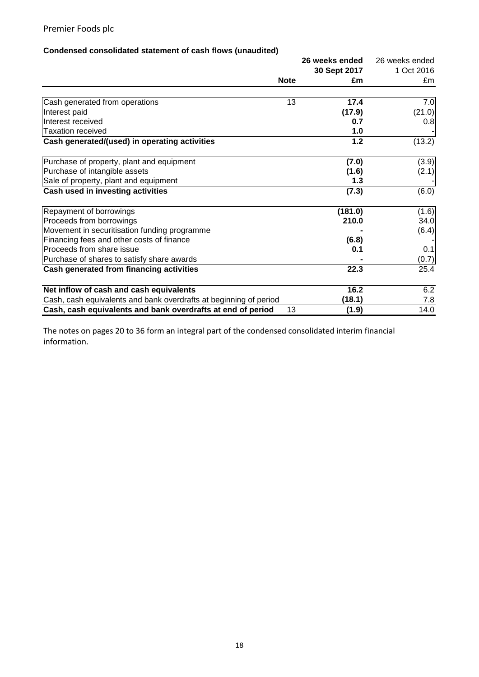# **Condensed consolidated statement of cash flows (unaudited)**

|                                                                   | 26 weeks ended |         | 26 weeks ended |
|-------------------------------------------------------------------|----------------|---------|----------------|
|                                                                   | 30 Sept 2017   |         | 1 Oct 2016     |
|                                                                   | <b>Note</b>    | £m      | £m             |
| Cash generated from operations                                    | 13             | 17.4    | 7.0            |
| Interest paid                                                     |                | (17.9)  | (21.0)         |
| Interest received                                                 |                | 0.7     | 0.8            |
| <b>Taxation received</b>                                          |                | 1.0     |                |
| Cash generated/(used) in operating activities                     |                | $1.2$   | (13.2)         |
| Purchase of property, plant and equipment                         |                | (7.0)   | (3.9)          |
| Purchase of intangible assets                                     |                | (1.6)   | (2.1)          |
| Sale of property, plant and equipment                             |                | 1.3     |                |
| Cash used in investing activities                                 |                | (7.3)   | (6.0)          |
| Repayment of borrowings                                           |                | (181.0) | (1.6)          |
| Proceeds from borrowings                                          |                | 210.0   | 34.0           |
| Movement in securitisation funding programme                      |                |         | (6.4)          |
| Financing fees and other costs of finance                         |                | (6.8)   |                |
| Proceeds from share issue                                         |                | 0.1     | 0.1            |
| Purchase of shares to satisfy share awards                        |                |         | (0.7)          |
| Cash generated from financing activities                          |                | 22.3    | 25.4           |
| Net inflow of cash and cash equivalents                           |                | 16.2    | 6.2            |
| Cash, cash equivalents and bank overdrafts at beginning of period |                | (18.1)  | 7.8            |
| Cash, cash equivalents and bank overdrafts at end of period       | 13             | (1.9)   | 14.0           |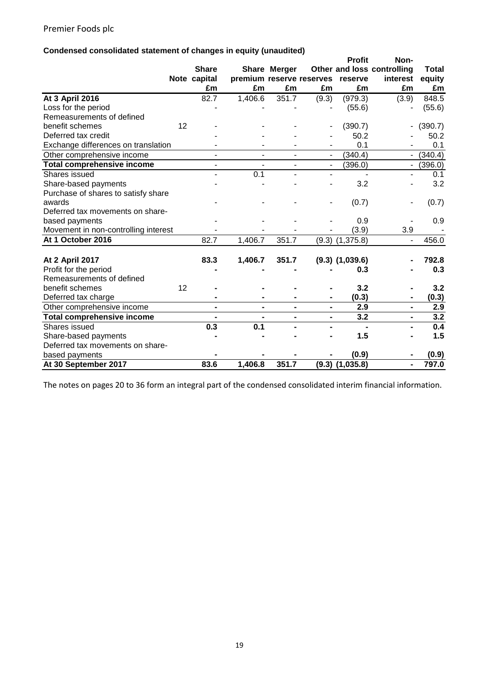# **Condensed consolidated statement of changes in equity (unaudited)**

|                                                    |    |                       |                          |                |                              | <b>Profit</b>       | Non-                       |              |
|----------------------------------------------------|----|-----------------------|--------------------------|----------------|------------------------------|---------------------|----------------------------|--------------|
|                                                    |    | <b>Share</b>          |                          | Share Merger   |                              |                     | Other and loss controlling | <b>Total</b> |
|                                                    |    | Note capital          | premium reserve reserves |                |                              | reserve             | interest                   | equity       |
|                                                    |    | £m                    | £m                       | £m             | £m                           | £m                  | £m                         | £m           |
| At 3 April 2016                                    |    | 82.7                  | 1,406.6                  | 351.7          | (9.3)                        | (979.3)             | (3.9)                      | 848.5        |
| Loss for the period                                |    |                       |                          |                |                              | (55.6)              |                            | (55.6)       |
| Remeasurements of defined                          |    |                       |                          |                |                              |                     |                            |              |
| benefit schemes                                    | 12 |                       |                          |                |                              | (390.7)             | ۰                          | (390.7)      |
| Deferred tax credit                                |    |                       |                          |                |                              | 50.2                |                            | 50.2         |
| Exchange differences on translation                |    |                       |                          |                |                              | 0.1                 |                            | 0.1          |
| Other comprehensive income                         |    | $\blacksquare$        | $\blacksquare$           | $\blacksquare$ | $\blacksquare$               | (340.4)             | $\blacksquare$             | (340.4)      |
| <b>Total comprehensive income</b>                  |    | $\blacksquare$        |                          |                | $\blacksquare$               | (396.0)             | ۰                          | (396.0)      |
| Shares issued                                      |    |                       | 0.1                      |                | $\blacksquare$               |                     | $\blacksquare$             | 0.1          |
| Share-based payments                               |    |                       |                          |                |                              | 3.2                 |                            | 3.2          |
| Purchase of shares to satisfy share                |    |                       |                          |                |                              |                     |                            |              |
| awards                                             |    |                       |                          |                | -                            | (0.7)               |                            | (0.7)        |
| Deferred tax movements on share-                   |    |                       |                          |                |                              |                     |                            |              |
| based payments                                     |    |                       |                          |                |                              | 0.9                 |                            | 0.9          |
| Movement in non-controlling interest               |    |                       |                          |                |                              | (3.9)               | 3.9                        |              |
| At 1 October 2016                                  |    | 82.7                  | 1,406.7                  | 351.7          |                              | $(9.3)$ $(1,375.8)$ | $\blacksquare$             | 456.0        |
|                                                    |    |                       |                          |                |                              |                     |                            | 792.8        |
| <b>At 2 April 2017</b>                             |    | 83.3                  | 1,406.7                  | 351.7          |                              | $(9.3)$ $(1,039.6)$ |                            |              |
| Profit for the period<br>Remeasurements of defined |    |                       |                          |                |                              | 0.3                 |                            | 0.3          |
| benefit schemes                                    | 12 |                       |                          |                |                              | 3.2                 |                            | 3.2          |
| Deferred tax charge                                |    |                       |                          |                | ۰                            | (0.3)               | $\blacksquare$             | (0.3)        |
|                                                    |    |                       | $\blacksquare$           |                | $\blacksquare$               | 2.9                 | $\blacksquare$             | 2.9          |
| Other comprehensive income                         |    |                       |                          |                |                              | 3.2                 | $\blacksquare$             | 3.2          |
| <b>Total comprehensive income</b>                  |    | $\blacksquare$<br>0.3 | $\blacksquare$<br>0.1    | $\blacksquare$ | $\qquad \qquad \blacksquare$ |                     |                            | 0.4          |
| Shares issued                                      |    |                       |                          |                |                              |                     |                            |              |
| Share-based payments                               |    |                       |                          |                |                              | 1.5                 |                            | 1.5          |
| Deferred tax movements on share-                   |    |                       |                          |                |                              |                     |                            |              |
| based payments                                     |    |                       |                          |                |                              | (0.9)               |                            | (0.9)        |
| At 30 September 2017                               |    | 83.6                  | 1,406.8                  | 351.7          |                              | $(9.3)$ $(1,035.8)$ | $\blacksquare$             | 797.0        |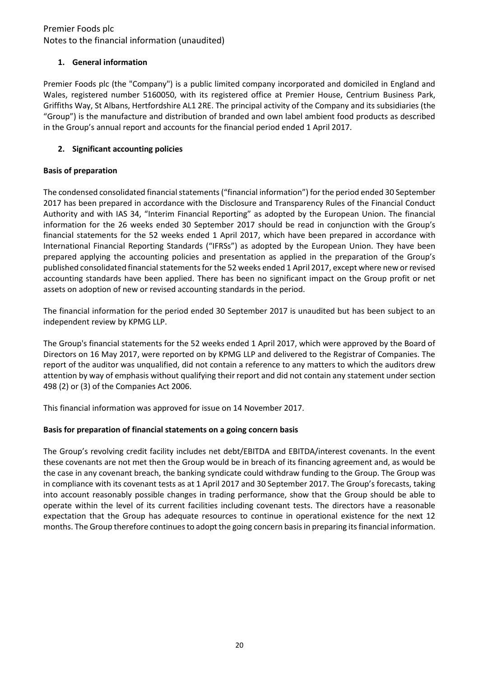## **1. General information**

Premier Foods plc (the "Company") is a public limited company incorporated and domiciled in England and Wales, registered number 5160050, with its registered office at Premier House, Centrium Business Park, Griffiths Way, St Albans, Hertfordshire AL1 2RE. The principal activity of the Company and its subsidiaries (the "Group") is the manufacture and distribution of branded and own label ambient food products as described in the Group's annual report and accounts for the financial period ended 1 April 2017.

# **2. Significant accounting policies**

# **Basis of preparation**

The condensed consolidated financial statements("financial information") for the period ended 30 September 2017 has been prepared in accordance with the Disclosure and Transparency Rules of the Financial Conduct Authority and with IAS 34, "Interim Financial Reporting" as adopted by the European Union. The financial information for the 26 weeks ended 30 September 2017 should be read in conjunction with the Group's financial statements for the 52 weeks ended 1 April 2017, which have been prepared in accordance with International Financial Reporting Standards ("IFRSs") as adopted by the European Union. They have been prepared applying the accounting policies and presentation as applied in the preparation of the Group's published consolidated financial statements for the 52 weeks ended 1 April 2017, except where new or revised accounting standards have been applied. There has been no significant impact on the Group profit or net assets on adoption of new or revised accounting standards in the period.

The financial information for the period ended 30 September 2017 is unaudited but has been subject to an independent review by KPMG LLP.

The Group's financial statements for the 52 weeks ended 1 April 2017, which were approved by the Board of Directors on 16 May 2017, were reported on by KPMG LLP and delivered to the Registrar of Companies. The report of the auditor was unqualified, did not contain a reference to any matters to which the auditors drew attention by way of emphasis without qualifying their report and did not contain any statement under section 498 (2) or (3) of the Companies Act 2006.

This financial information was approved for issue on 14 November 2017.

## **Basis for preparation of financial statements on a going concern basis**

The Group's revolving credit facility includes net debt/EBITDA and EBITDA/interest covenants. In the event these covenants are not met then the Group would be in breach of its financing agreement and, as would be the case in any covenant breach, the banking syndicate could withdraw funding to the Group. The Group was in compliance with its covenant tests as at 1 April 2017 and 30 September 2017. The Group's forecasts, taking into account reasonably possible changes in trading performance, show that the Group should be able to operate within the level of its current facilities including covenant tests. The directors have a reasonable expectation that the Group has adequate resources to continue in operational existence for the next 12 months. The Group therefore continues to adopt the going concern basis in preparing its financial information.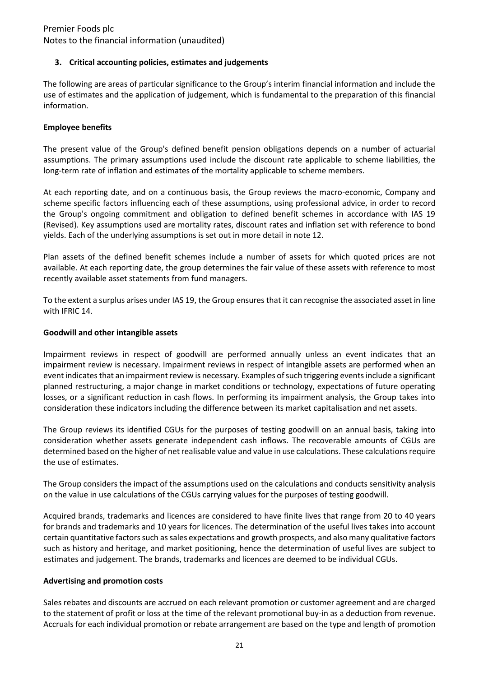### **3. Critical accounting policies, estimates and judgements**

The following are areas of particular significance to the Group's interim financial information and include the use of estimates and the application of judgement, which is fundamental to the preparation of this financial information.

### **Employee benefits**

The present value of the Group's defined benefit pension obligations depends on a number of actuarial assumptions. The primary assumptions used include the discount rate applicable to scheme liabilities, the long-term rate of inflation and estimates of the mortality applicable to scheme members.

At each reporting date, and on a continuous basis, the Group reviews the macro-economic, Company and scheme specific factors influencing each of these assumptions, using professional advice, in order to record the Group's ongoing commitment and obligation to defined benefit schemes in accordance with IAS 19 (Revised). Key assumptions used are mortality rates, discount rates and inflation set with reference to bond yields. Each of the underlying assumptions is set out in more detail in note 12.

Plan assets of the defined benefit schemes include a number of assets for which quoted prices are not available. At each reporting date, the group determines the fair value of these assets with reference to most recently available asset statements from fund managers.

To the extent a surplus arises under IAS 19, the Group ensures that it can recognise the associated asset in line with IFRIC 14.

### **Goodwill and other intangible assets**

Impairment reviews in respect of goodwill are performed annually unless an event indicates that an impairment review is necessary. Impairment reviews in respect of intangible assets are performed when an event indicates that an impairment review is necessary. Examples of such triggering events include a significant planned restructuring, a major change in market conditions or technology, expectations of future operating losses, or a significant reduction in cash flows. In performing its impairment analysis, the Group takes into consideration these indicators including the difference between its market capitalisation and net assets.

The Group reviews its identified CGUs for the purposes of testing goodwill on an annual basis, taking into consideration whether assets generate independent cash inflows. The recoverable amounts of CGUs are determined based on the higher of net realisable value and value in use calculations. These calculations require the use of estimates.

The Group considers the impact of the assumptions used on the calculations and conducts sensitivity analysis on the value in use calculations of the CGUs carrying values for the purposes of testing goodwill.

Acquired brands, trademarks and licences are considered to have finite lives that range from 20 to 40 years for brands and trademarks and 10 years for licences. The determination of the useful lives takes into account certain quantitative factors such as sales expectations and growth prospects, and also many qualitative factors such as history and heritage, and market positioning, hence the determination of useful lives are subject to estimates and judgement. The brands, trademarks and licences are deemed to be individual CGUs.

### **Advertising and promotion costs**

Sales rebates and discounts are accrued on each relevant promotion or customer agreement and are charged to the statement of profit or loss at the time of the relevant promotional buy-in as a deduction from revenue. Accruals for each individual promotion or rebate arrangement are based on the type and length of promotion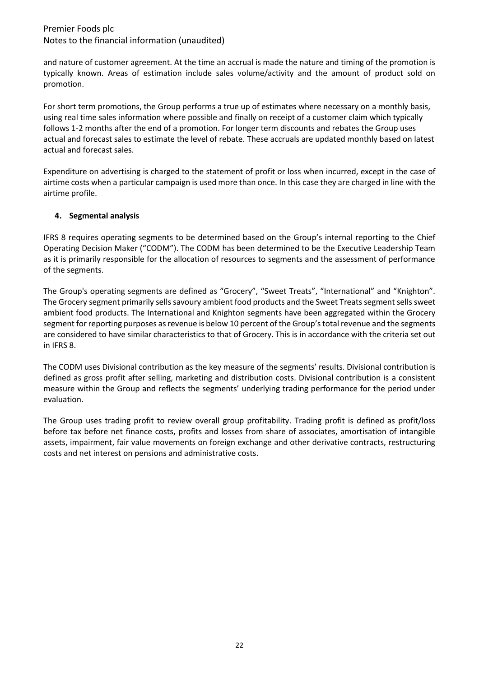and nature of customer agreement. At the time an accrual is made the nature and timing of the promotion is typically known. Areas of estimation include sales volume/activity and the amount of product sold on promotion.

For short term promotions, the Group performs a true up of estimates where necessary on a monthly basis, using real time sales information where possible and finally on receipt of a customer claim which typically follows 1-2 months after the end of a promotion. For longer term discounts and rebates the Group uses actual and forecast sales to estimate the level of rebate. These accruals are updated monthly based on latest actual and forecast sales.

Expenditure on advertising is charged to the statement of profit or loss when incurred, except in the case of airtime costs when a particular campaign is used more than once. In this case they are charged in line with the airtime profile.

### **4. Segmental analysis**

IFRS 8 requires operating segments to be determined based on the Group's internal reporting to the Chief Operating Decision Maker ("CODM"). The CODM has been determined to be the Executive Leadership Team as it is primarily responsible for the allocation of resources to segments and the assessment of performance of the segments.

The Group's operating segments are defined as "Grocery", "Sweet Treats", "International" and "Knighton". The Grocery segment primarily sells savoury ambient food products and the Sweet Treats segment sells sweet ambient food products. The International and Knighton segments have been aggregated within the Grocery segment for reporting purposes as revenue is below 10 percent of the Group's total revenue and the segments are considered to have similar characteristics to that of Grocery. This is in accordance with the criteria set out in IFRS 8.

The CODM uses Divisional contribution as the key measure of the segments' results. Divisional contribution is defined as gross profit after selling, marketing and distribution costs. Divisional contribution is a consistent measure within the Group and reflects the segments' underlying trading performance for the period under evaluation.

The Group uses trading profit to review overall group profitability. Trading profit is defined as profit/loss before tax before net finance costs, profits and losses from share of associates, amortisation of intangible assets, impairment, fair value movements on foreign exchange and other derivative contracts, restructuring costs and net interest on pensions and administrative costs.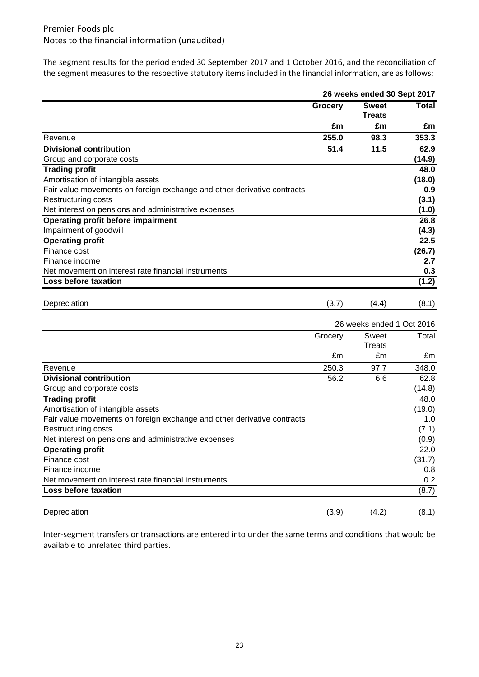The segment results for the period ended 30 September 2017 and 1 October 2016, and the reconciliation of the segment measures to the respective statutory items included in the financial information, are as follows:

|                                                                         |         | 26 weeks ended 30 Sept 2017   |              |
|-------------------------------------------------------------------------|---------|-------------------------------|--------------|
|                                                                         | Grocery | <b>Sweet</b><br><b>Treats</b> | <b>Total</b> |
|                                                                         | £m      | £m                            | £m           |
| Revenue                                                                 | 255.0   | 98.3                          | 353.3        |
| <b>Divisional contribution</b>                                          | 51.4    | 11.5                          | 62.9         |
| Group and corporate costs                                               |         |                               | (14.9)       |
| <b>Trading profit</b>                                                   |         |                               | 48.0         |
| Amortisation of intangible assets                                       |         |                               | (18.0)       |
| Fair value movements on foreign exchange and other derivative contracts |         |                               | 0.9          |
| Restructuring costs                                                     |         |                               | (3.1)        |
| Net interest on pensions and administrative expenses                    |         |                               | (1.0)        |
| <b>Operating profit before impairment</b>                               |         |                               | 26.8         |
| Impairment of goodwill                                                  |         |                               | (4.3)        |
| <b>Operating profit</b>                                                 |         |                               | 22.5         |
| Finance cost                                                            |         |                               | (26.7)       |
| Finance income                                                          |         |                               | 2.7          |
| Net movement on interest rate financial instruments                     |         |                               | 0.3          |
| Loss before taxation                                                    |         |                               | (1.2)        |
|                                                                         |         |                               |              |
| Depreciation                                                            | (3.7)   | (4.4)                         | (8.1)        |
|                                                                         |         | 26 weeks ended 1 Oct 2016     |              |
|                                                                         | Grocery | Sweet                         | Total        |
|                                                                         |         | <b>Treats</b>                 |              |
|                                                                         | £m      | £m                            | £m           |
| Revenue                                                                 | 250.3   | 97.7                          | 348.0        |
| <b>Divisional contribution</b>                                          | 56.2    | 6.6                           | 62.8         |
| Group and corporate costs                                               |         |                               | (14.8)       |
| <b>Trading profit</b>                                                   |         |                               | 48.0         |
| Amortisation of intangible assets                                       |         |                               | (19.0)       |
| Fair value movements on foreign exchange and other derivative contracts |         |                               | 1.0          |
| <b>Restructuring costs</b>                                              |         |                               | (7.1)        |
| Net interest on pensions and administrative expenses                    |         |                               | (0.9)        |
| <b>Operating profit</b>                                                 |         |                               | 22.0         |
| Finance cost                                                            |         |                               | (31.7)       |
| Finance income                                                          |         |                               | 0.8          |
| Net movement on interest rate financial instruments                     |         |                               | 0.2          |
| Loss before taxation                                                    |         |                               | (8.7)        |
| Depreciation                                                            | (3.9)   | (4.2)                         | (8.1)        |
|                                                                         |         |                               |              |

Inter-segment transfers or transactions are entered into under the same terms and conditions that would be available to unrelated third parties.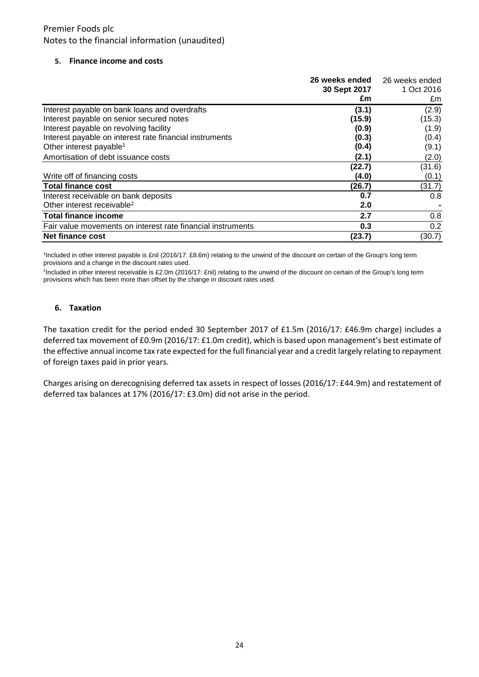#### **5. Finance income and costs**

|                                                             | 26 weeks ended 26 weeks ended |            |
|-------------------------------------------------------------|-------------------------------|------------|
|                                                             | 30 Sept 2017                  | 1 Oct 2016 |
|                                                             | £m                            | £m         |
| Interest payable on bank loans and overdrafts               | (3.1)                         | (2.9)      |
| Interest payable on senior secured notes                    | (15.9)                        | (15.3)     |
| Interest payable on revolving facility                      | (0.9)                         | (1.9)      |
| Interest payable on interest rate financial instruments     | (0.3)                         | (0.4)      |
| Other interest payable <sup>1</sup>                         | (0.4)                         | (9.1)      |
| Amortisation of debt issuance costs                         | (2.1)                         | (2.0)      |
|                                                             | (22.7)                        | (31.6)     |
| Write off of financing costs                                | (4.0)                         | (0.1)      |
| <b>Total finance cost</b>                                   | (26.7)                        | (31.7)     |
| Interest receivable on bank deposits                        | 0.7                           | 0.8        |
| Other interest receivable <sup>2</sup>                      | 2.0                           |            |
| <b>Total finance income</b>                                 | 2.7                           | 0.8        |
| Fair value movements on interest rate financial instruments | 0.3                           | 0.2        |
| <b>Net finance cost</b>                                     | (23.7)                        | (30.7)     |

1 Included in other interest payable is £nil (2016/17: £8.6m) relating to the unwind of the discount on certain of the Group's long term provisions and a change in the discount rates used.

2 Included in other interest receivable is £2.0m (2016/17: £nil) relating to the unwind of the discount on certain of the Group's long term provisions which has been more than offset by the change in discount rates used.

#### **6. Taxation**

The taxation credit for the period ended 30 September 2017 of £1.5m (2016/17: £46.9m charge) includes a deferred tax movement of £0.9m (2016/17: £1.0m credit), which is based upon management's best estimate of the effective annual income tax rate expected for the full financial year and a credit largely relating to repayment of foreign taxes paid in prior years.

Charges arising on derecognising deferred tax assets in respect of losses (2016/17: £44.9m) and restatement of deferred tax balances at 17% (2016/17: £3.0m) did not arise in the period.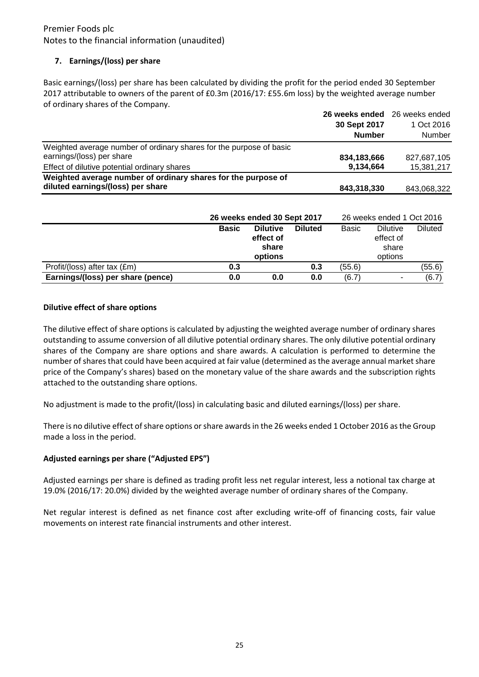# **7. Earnings/(loss) per share**

Basic earnings/(loss) per share has been calculated by dividing the profit for the period ended 30 September 2017 attributable to owners of the parent of £0.3m (2016/17: £55.6m loss) by the weighted average number of ordinary shares of the Company.

|                                                                     | 26 weeks ended 26 weeks ended |             |
|---------------------------------------------------------------------|-------------------------------|-------------|
|                                                                     | 30 Sept 2017                  | 1 Oct 2016  |
|                                                                     | <b>Number</b>                 | Number      |
| Weighted average number of ordinary shares for the purpose of basic |                               |             |
| earnings/(loss) per share                                           | 834,183,666                   | 827,687,105 |
| Effect of dilutive potential ordinary shares                        | 9,134,664                     | 15,381,217  |
| Weighted average number of ordinary shares for the purpose of       |                               |             |
| diluted earnings/(loss) per share                                   | 843,318,330                   | 843,068,322 |

|                                   |              | 26 weeks ended 30 Sept 2017                      |                |              | 26 weeks ended 1 Oct 2016                        |                |
|-----------------------------------|--------------|--------------------------------------------------|----------------|--------------|--------------------------------------------------|----------------|
|                                   | <b>Basic</b> | <b>Dilutive</b><br>effect of<br>share<br>options | <b>Diluted</b> | <b>Basic</b> | <b>Dilutive</b><br>effect of<br>share<br>options | <b>Diluted</b> |
| Profit/(loss) after tax (£m)      | 0.3          |                                                  | 0.3            | (55.6)       |                                                  | (55.6)         |
| Earnings/(loss) per share (pence) | 0.0          | 0.0                                              | 0.0            | (6.7)        | $\blacksquare$                                   | (6.7)          |

### **Dilutive effect of share options**

The dilutive effect of share options is calculated by adjusting the weighted average number of ordinary shares outstanding to assume conversion of all dilutive potential ordinary shares. The only dilutive potential ordinary shares of the Company are share options and share awards. A calculation is performed to determine the number of shares that could have been acquired at fair value (determined as the average annual market share price of the Company's shares) based on the monetary value of the share awards and the subscription rights attached to the outstanding share options.

No adjustment is made to the profit/(loss) in calculating basic and diluted earnings/(loss) per share.

There is no dilutive effect of share options or share awards in the 26 weeks ended 1 October 2016 as the Group made a loss in the period.

## **Adjusted earnings per share ("Adjusted EPS")**

Adjusted earnings per share is defined as trading profit less net regular interest, less a notional tax charge at 19.0% (2016/17: 20.0%) divided by the weighted average number of ordinary shares of the Company.

Net regular interest is defined as net finance cost after excluding write-off of financing costs, fair value movements on interest rate financial instruments and other interest.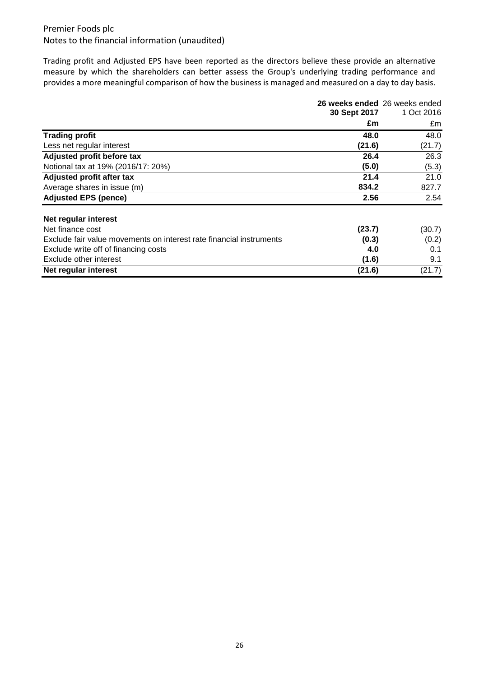Trading profit and Adjusted EPS have been reported as the directors believe these provide an alternative measure by which the shareholders can better assess the Group's underlying trading performance and provides a more meaningful comparison of how the business is managed and measured on a day to day basis.

|                                                                     | 26 weeks ended 26 weeks ended<br>30 Sept 2017 | 1 Oct 2016 |
|---------------------------------------------------------------------|-----------------------------------------------|------------|
|                                                                     | £m                                            | £m         |
| <b>Trading profit</b>                                               | 48.0                                          | 48.0       |
| Less net regular interest                                           | (21.6)                                        | (21.7)     |
| Adjusted profit before tax                                          | 26.4                                          | 26.3       |
| Notional tax at 19% (2016/17: 20%)                                  | (5.0)                                         | (5.3)      |
| Adjusted profit after tax                                           | 21.4                                          | 21.0       |
| Average shares in issue (m)                                         | 834.2                                         | 827.7      |
| <b>Adjusted EPS (pence)</b>                                         | 2.56                                          | 2.54       |
| Net regular interest                                                |                                               |            |
| Net finance cost                                                    | (23.7)                                        | (30.7)     |
| Exclude fair value movements on interest rate financial instruments | (0.3)                                         | (0.2)      |
| Exclude write off of financing costs                                | 4.0                                           | 0.1        |
| Exclude other interest                                              | (1.6)                                         | 9.1        |
| Net regular interest                                                | (21.6)                                        | (21.7)     |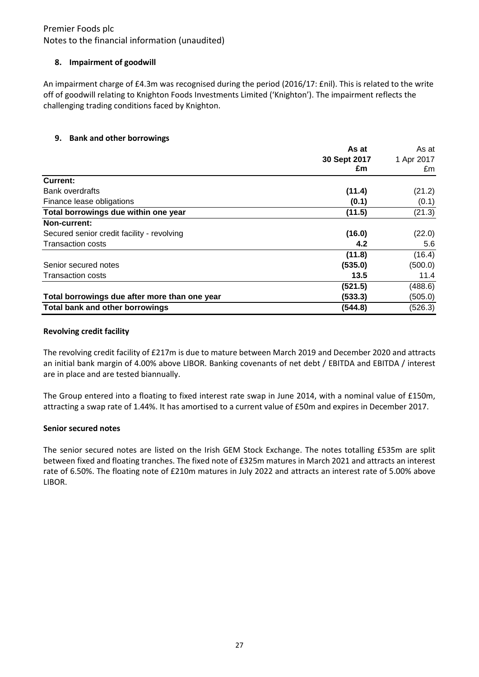## Notes to the financial information (unaudited)

### **8. Impairment of goodwill**

An impairment charge of £4.3m was recognised during the period (2016/17: £nil). This is related to the write off of goodwill relating to Knighton Foods Investments Limited ('Knighton'). The impairment reflects the challenging trading conditions faced by Knighton.

### **9. Bank and other borrowings**

|                                               | As at        | As at      |
|-----------------------------------------------|--------------|------------|
|                                               | 30 Sept 2017 | 1 Apr 2017 |
|                                               | £m           | £m         |
| <b>Current:</b>                               |              |            |
| <b>Bank overdrafts</b>                        | (11.4)       | (21.2)     |
| Finance lease obligations                     | (0.1)        | (0.1)      |
| Total borrowings due within one year          | (11.5)       | (21.3)     |
| Non-current:                                  |              |            |
| Secured senior credit facility - revolving    | (16.0)       | (22.0)     |
| <b>Transaction costs</b>                      | 4.2          | 5.6        |
|                                               | (11.8)       | (16.4)     |
| Senior secured notes                          | (535.0)      | (500.0)    |
| <b>Transaction costs</b>                      | 13.5         | 11.4       |
|                                               | (521.5)      | (488.6)    |
| Total borrowings due after more than one year | (533.3)      | (505.0)    |
| Total bank and other borrowings               | (544.8)      | (526.3)    |

#### **Revolving credit facility**

The revolving credit facility of £217m is due to mature between March 2019 and December 2020 and attracts an initial bank margin of 4.00% above LIBOR. Banking covenants of net debt / EBITDA and EBITDA / interest are in place and are tested biannually.

The Group entered into a floating to fixed interest rate swap in June 2014, with a nominal value of £150m, attracting a swap rate of 1.44%. It has amortised to a current value of £50m and expires in December 2017.

### **Senior secured notes**

The senior secured notes are listed on the Irish GEM Stock Exchange. The notes totalling £535m are split between fixed and floating tranches. The fixed note of £325m matures in March 2021 and attracts an interest rate of 6.50%. The floating note of £210m matures in July 2022 and attracts an interest rate of 5.00% above LIBOR.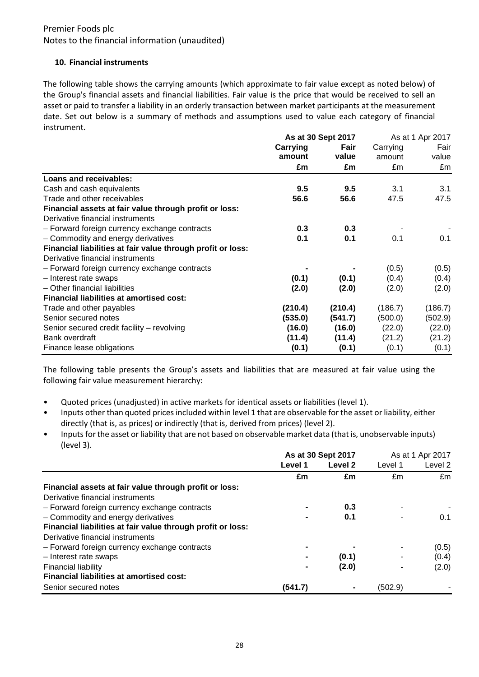### **10. Financial instruments**

The following table shows the carrying amounts (which approximate to fair value except as noted below) of the Group's financial assets and financial liabilities. Fair value is the price that would be received to sell an asset or paid to transfer a liability in an orderly transaction between market participants at the measurement date. Set out below is a summary of methods and assumptions used to value each category of financial instrument.

|                                                             | As at 30 Sept 2017 |         | As at 1 Apr 2017 |         |
|-------------------------------------------------------------|--------------------|---------|------------------|---------|
|                                                             | Carrying           | Fair    | Carrying         | Fair    |
|                                                             | amount             | value   | amount           | value   |
|                                                             | £m                 | £m      | £m               | £m      |
| Loans and receivables:                                      |                    |         |                  |         |
| Cash and cash equivalents                                   | 9.5                | 9.5     | 3.1              | 3.1     |
| Trade and other receivables                                 | 56.6               | 56.6    | 47.5             | 47.5    |
| Financial assets at fair value through profit or loss:      |                    |         |                  |         |
| Derivative financial instruments                            |                    |         |                  |         |
| - Forward foreign currency exchange contracts               | 0.3                | 0.3     |                  |         |
| - Commodity and energy derivatives                          | 0.1                | 0.1     | 0.1              | 0.1     |
| Financial liabilities at fair value through profit or loss: |                    |         |                  |         |
| Derivative financial instruments                            |                    |         |                  |         |
| - Forward foreign currency exchange contracts               |                    |         | (0.5)            | (0.5)   |
| - Interest rate swaps                                       | (0.1)              | (0.1)   | (0.4)            | (0.4)   |
| - Other financial liabilities                               | (2.0)              | (2.0)   | (2.0)            | (2.0)   |
| Financial liabilities at amortised cost:                    |                    |         |                  |         |
| Trade and other payables                                    | (210.4)            | (210.4) | (186.7)          | (186.7) |
| Senior secured notes                                        | (535.0)            | (541.7) | (500.0)          | (502.9) |
| Senior secured credit facility - revolving                  | (16.0)             | (16.0)  | (22.0)           | (22.0)  |
| Bank overdraft                                              | (11.4)             | (11.4)  | (21.2)           | (21.2)  |
| Finance lease obligations                                   | (0.1)              | (0.1)   | (0.1)            | (0.1)   |

The following table presents the Group's assets and liabilities that are measured at fair value using the following fair value measurement hierarchy:

- Quoted prices (unadjusted) in active markets for identical assets or liabilities (level 1).
- Inputs other than quoted prices included within level 1 that are observable for the asset or liability, either directly (that is, as prices) or indirectly (that is, derived from prices) (level 2).
- Inputs for the asset or liability that are not based on observable market data (that is, unobservable inputs) (level 3).

|                                                             | As at 30 Sept 2017 |         | As at 1 Apr 2017 |         |
|-------------------------------------------------------------|--------------------|---------|------------------|---------|
|                                                             | Level 1            | Level 2 | Level 1          | Level 2 |
|                                                             | £m                 | £m      | £m               | £m      |
| Financial assets at fair value through profit or loss:      |                    |         |                  |         |
| Derivative financial instruments                            |                    |         |                  |         |
| - Forward foreign currency exchange contracts               |                    | 0.3     |                  |         |
| - Commodity and energy derivatives                          |                    | 0.1     |                  | 0.1     |
| Financial liabilities at fair value through profit or loss: |                    |         |                  |         |
| Derivative financial instruments                            |                    |         |                  |         |
| - Forward foreign currency exchange contracts               |                    |         |                  | (0.5)   |
| - Interest rate swaps                                       | ۰                  | (0.1)   |                  | (0.4)   |
| <b>Financial liability</b>                                  | $\blacksquare$     | (2.0)   |                  | (2.0)   |
| Financial liabilities at amortised cost:                    |                    |         |                  |         |
| Senior secured notes                                        | (541.7)            |         | (502.9)          |         |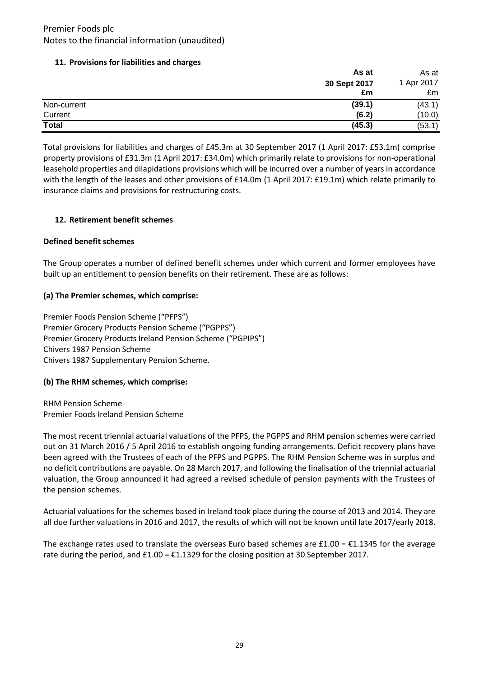### **11. Provisions for liabilities and charges**

|              | As at        | As at      |
|--------------|--------------|------------|
|              | 30 Sept 2017 | 1 Apr 2017 |
|              | £m           | £m         |
| Non-current  | (39.1)       | (43.1)     |
| Current      | (6.2)        | (10.0)     |
| <b>Total</b> | (45.3)       | (53.1)     |

Total provisions for liabilities and charges of £45.3m at 30 September 2017 (1 April 2017: £53.1m) comprise property provisions of £31.3m (1 April 2017: £34.0m) which primarily relate to provisions for non-operational leasehold properties and dilapidations provisions which will be incurred over a number of years in accordance with the length of the leases and other provisions of £14.0m (1 April 2017: £19.1m) which relate primarily to insurance claims and provisions for restructuring costs.

### **12. Retirement benefit schemes**

### **Defined benefit schemes**

The Group operates a number of defined benefit schemes under which current and former employees have built up an entitlement to pension benefits on their retirement. These are as follows:

### **(a) The Premier schemes, which comprise:**

Premier Foods Pension Scheme ("PFPS") Premier Grocery Products Pension Scheme ("PGPPS") Premier Grocery Products Ireland Pension Scheme ("PGPIPS") Chivers 1987 Pension Scheme Chivers 1987 Supplementary Pension Scheme.

### **(b) The RHM schemes, which comprise:**

RHM Pension Scheme Premier Foods Ireland Pension Scheme

The most recent triennial actuarial valuations of the PFPS, the PGPPS and RHM pension schemes were carried out on 31 March 2016 / 5 April 2016 to establish ongoing funding arrangements. Deficit recovery plans have been agreed with the Trustees of each of the PFPS and PGPPS. The RHM Pension Scheme was in surplus and no deficit contributions are payable. On 28 March 2017, and following the finalisation of the triennial actuarial valuation, the Group announced it had agreed a revised schedule of pension payments with the Trustees of the pension schemes.

Actuarial valuations for the schemes based in Ireland took place during the course of 2013 and 2014. They are all due further valuations in 2016 and 2017, the results of which will not be known until late 2017/early 2018.

The exchange rates used to translate the overseas Euro based schemes are  $£1.00 = £1.1345$  for the average rate during the period, and  $£1.00 = £1.1329$  for the closing position at 30 September 2017.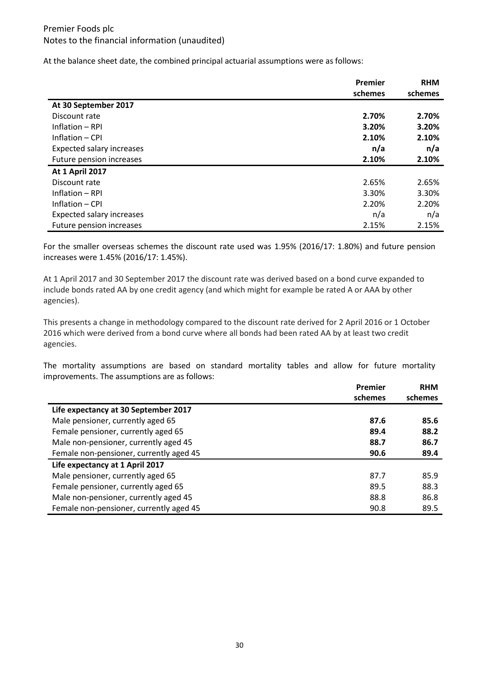At the balance sheet date, the combined principal actuarial assumptions were as follows:

|                                  | Premier | <b>RHM</b> |
|----------------------------------|---------|------------|
|                                  | schemes | schemes    |
| At 30 September 2017             |         |            |
| Discount rate                    | 2.70%   | 2.70%      |
| Inflation - RPI                  | 3.20%   | 3.20%      |
| Inflation – CPI                  | 2.10%   | 2.10%      |
| <b>Expected salary increases</b> | n/a     | n/a        |
| Future pension increases         | 2.10%   | 2.10%      |
| <b>At 1 April 2017</b>           |         |            |
| Discount rate                    | 2.65%   | 2.65%      |
| Inflation - RPI                  | 3.30%   | 3.30%      |
| Inflation - CPI                  | 2.20%   | 2.20%      |
| Expected salary increases        | n/a     | n/a        |
| Future pension increases         | 2.15%   | 2.15%      |

For the smaller overseas schemes the discount rate used was 1.95% (2016/17: 1.80%) and future pension increases were 1.45% (2016/17: 1.45%).

At 1 April 2017 and 30 September 2017 the discount rate was derived based on a bond curve expanded to include bonds rated AA by one credit agency (and which might for example be rated A or AAA by other agencies).

This presents a change in methodology compared to the discount rate derived for 2 April 2016 or 1 October 2016 which were derived from a bond curve where all bonds had been rated AA by at least two credit agencies.

The mortality assumptions are based on standard mortality tables and allow for future mortality improvements. The assumptions are as follows:

|                                         | Premier | <b>RHM</b> |
|-----------------------------------------|---------|------------|
|                                         | schemes | schemes    |
| Life expectancy at 30 September 2017    |         |            |
| Male pensioner, currently aged 65       | 87.6    | 85.6       |
| Female pensioner, currently aged 65     | 89.4    | 88.2       |
| Male non-pensioner, currently aged 45   | 88.7    | 86.7       |
| Female non-pensioner, currently aged 45 | 90.6    | 89.4       |
| Life expectancy at 1 April 2017         |         |            |
| Male pensioner, currently aged 65       | 87.7    | 85.9       |
| Female pensioner, currently aged 65     | 89.5    | 88.3       |
| Male non-pensioner, currently aged 45   | 88.8    | 86.8       |
| Female non-pensioner, currently aged 45 | 90.8    | 89.5       |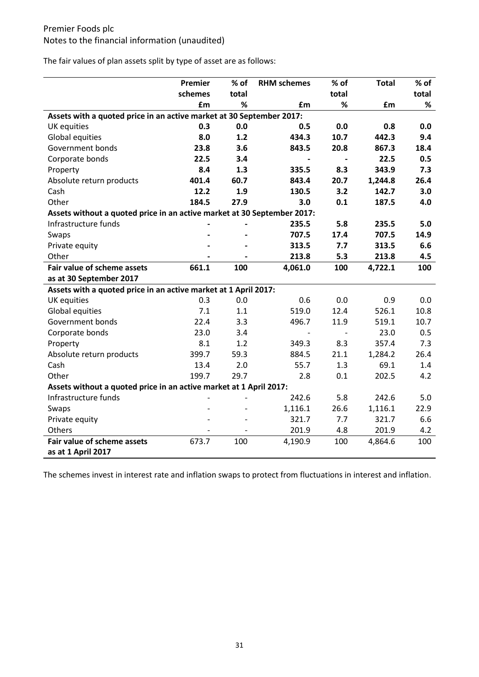The fair values of plan assets split by type of asset are as follows:

|                                                                         | Premier | $%$ of | <b>RHM schemes</b> | $%$ of | <b>Total</b> | $%$ of |
|-------------------------------------------------------------------------|---------|--------|--------------------|--------|--------------|--------|
|                                                                         | schemes | total  |                    | total  |              | total  |
|                                                                         | £m      | ℅      | £m                 | %      | £m           | %      |
| Assets with a quoted price in an active market at 30 September 2017:    |         |        |                    |        |              |        |
| UK equities                                                             | 0.3     | 0.0    | 0.5                | 0.0    | 0.8          | 0.0    |
| Global equities                                                         | 8.0     | 1.2    | 434.3              | 10.7   | 442.3        | 9.4    |
| Government bonds                                                        | 23.8    | 3.6    | 843.5              | 20.8   | 867.3        | 18.4   |
| Corporate bonds                                                         | 22.5    | 3.4    |                    |        | 22.5         | 0.5    |
| Property                                                                | 8.4     | 1.3    | 335.5              | 8.3    | 343.9        | 7.3    |
| Absolute return products                                                | 401.4   | 60.7   | 843.4              | 20.7   | 1,244.8      | 26.4   |
| Cash                                                                    | 12.2    | 1.9    | 130.5              | 3.2    | 142.7        | 3.0    |
| Other                                                                   | 184.5   | 27.9   | 3.0                | 0.1    | 187.5        | 4.0    |
| Assets without a quoted price in an active market at 30 September 2017: |         |        |                    |        |              |        |
| Infrastructure funds                                                    |         |        | 235.5              | 5.8    | 235.5        | 5.0    |
| Swaps                                                                   |         |        | 707.5              | 17.4   | 707.5        | 14.9   |
| Private equity                                                          |         |        | 313.5              | 7.7    | 313.5        | 6.6    |
| Other                                                                   |         |        | 213.8              | 5.3    | 213.8        | 4.5    |
| Fair value of scheme assets                                             | 661.1   | 100    | 4,061.0            | 100    | 4,722.1      | 100    |
| as at 30 September 2017                                                 |         |        |                    |        |              |        |
| Assets with a quoted price in an active market at 1 April 2017:         |         |        |                    |        |              |        |
| UK equities                                                             | 0.3     | 0.0    | 0.6                | 0.0    | 0.9          | 0.0    |
| Global equities                                                         | 7.1     | 1.1    | 519.0              | 12.4   | 526.1        | 10.8   |
| Government bonds                                                        | 22.4    | 3.3    | 496.7              | 11.9   | 519.1        | 10.7   |
| Corporate bonds                                                         | 23.0    | 3.4    |                    |        | 23.0         | 0.5    |
| Property                                                                | 8.1     | 1.2    | 349.3              | 8.3    | 357.4        | 7.3    |
| Absolute return products                                                | 399.7   | 59.3   | 884.5              | 21.1   | 1,284.2      | 26.4   |
| Cash                                                                    | 13.4    | 2.0    | 55.7               | 1.3    | 69.1         | 1.4    |
| Other                                                                   | 199.7   | 29.7   | 2.8                | 0.1    | 202.5        | 4.2    |
| Assets without a quoted price in an active market at 1 April 2017:      |         |        |                    |        |              |        |
| Infrastructure funds                                                    |         |        | 242.6              | 5.8    | 242.6        | 5.0    |
| Swaps                                                                   |         |        | 1,116.1            | 26.6   | 1,116.1      | 22.9   |
| Private equity                                                          |         |        | 321.7              | 7.7    | 321.7        | 6.6    |
| Others                                                                  |         |        | 201.9              | 4.8    | 201.9        | 4.2    |
| Fair value of scheme assets                                             | 673.7   | 100    | 4,190.9            | 100    | 4,864.6      | 100    |
| as at 1 April 2017                                                      |         |        |                    |        |              |        |

The schemes invest in interest rate and inflation swaps to protect from fluctuations in interest and inflation.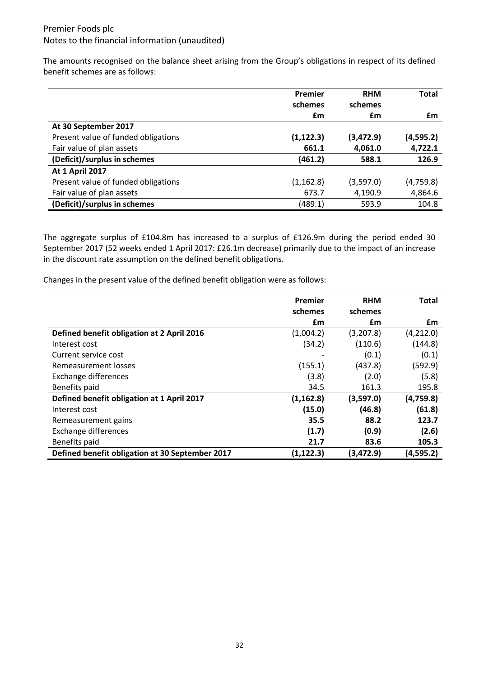The amounts recognised on the balance sheet arising from the Group's obligations in respect of its defined benefit schemes are as follows:

|                                     | Premier    | <b>RHM</b> | <b>Total</b> |
|-------------------------------------|------------|------------|--------------|
|                                     | schemes    | schemes    |              |
|                                     | £m         | £m         | £m           |
| At 30 September 2017                |            |            |              |
| Present value of funded obligations | (1, 122.3) | (3,472.9)  | (4,595.2)    |
| Fair value of plan assets           | 661.1      | 4,061.0    | 4,722.1      |
| (Deficit)/surplus in schemes        | (461.2)    | 588.1      | 126.9        |
| <b>At 1 April 2017</b>              |            |            |              |
| Present value of funded obligations | (1, 162.8) | (3,597.0)  | (4,759.8)    |
| Fair value of plan assets           | 673.7      | 4,190.9    | 4,864.6      |
| (Deficit)/surplus in schemes        | (489.1)    | 593.9      | 104.8        |

The aggregate surplus of £104.8m has increased to a surplus of £126.9m during the period ended 30 September 2017 (52 weeks ended 1 April 2017: £26.1m decrease) primarily due to the impact of an increase in the discount rate assumption on the defined benefit obligations.

Changes in the present value of the defined benefit obligation were as follows:

|                                                 | Premier    | <b>RHM</b> | <b>Total</b> |
|-------------------------------------------------|------------|------------|--------------|
|                                                 | schemes    | schemes    |              |
|                                                 | £m         | £m         | £m           |
| Defined benefit obligation at 2 April 2016      | (1,004.2)  | (3,207.8)  | (4,212.0)    |
| Interest cost                                   | (34.2)     | (110.6)    | (144.8)      |
| Current service cost                            |            | (0.1)      | (0.1)        |
| Remeasurement losses                            | (155.1)    | (437.8)    | (592.9)      |
| <b>Exchange differences</b>                     | (3.8)      | (2.0)      | (5.8)        |
| Benefits paid                                   | 34.5       | 161.3      | 195.8        |
| Defined benefit obligation at 1 April 2017      | (1, 162.8) | (3,597.0)  | (4,759.8)    |
| Interest cost                                   | (15.0)     | (46.8)     | (61.8)       |
| Remeasurement gains                             | 35.5       | 88.2       | 123.7        |
| Exchange differences                            | (1.7)      | (0.9)      | (2.6)        |
| Benefits paid                                   | 21.7       | 83.6       | 105.3        |
| Defined benefit obligation at 30 September 2017 | (1, 122.3) | (3, 472.9) | (4,595.2)    |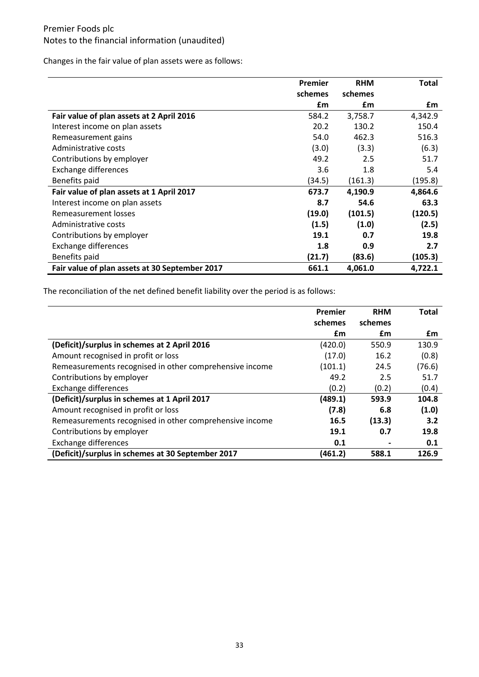Changes in the fair value of plan assets were as follows:

|                                                | Premier | <b>RHM</b> | <b>Total</b> |
|------------------------------------------------|---------|------------|--------------|
|                                                | schemes | schemes    |              |
|                                                | £m      | £m         | £m           |
| Fair value of plan assets at 2 April 2016      | 584.2   | 3,758.7    | 4,342.9      |
| Interest income on plan assets                 | 20.2    | 130.2      | 150.4        |
| Remeasurement gains                            | 54.0    | 462.3      | 516.3        |
| Administrative costs                           | (3.0)   | (3.3)      | (6.3)        |
| Contributions by employer                      | 49.2    | 2.5        | 51.7         |
| <b>Exchange differences</b>                    | 3.6     | 1.8        | 5.4          |
| Benefits paid                                  | (34.5)  | (161.3)    | (195.8)      |
| Fair value of plan assets at 1 April 2017      | 673.7   | 4,190.9    | 4,864.6      |
| Interest income on plan assets                 | 8.7     | 54.6       | 63.3         |
| Remeasurement losses                           | (19.0)  | (101.5)    | (120.5)      |
| Administrative costs                           | (1.5)   | (1.0)      | (2.5)        |
| Contributions by employer                      | 19.1    | 0.7        | 19.8         |
| Exchange differences                           | 1.8     | 0.9        | 2.7          |
| Benefits paid                                  | (21.7)  | (83.6)     | (105.3)      |
| Fair value of plan assets at 30 September 2017 | 661.1   | 4,061.0    | 4,722.1      |

The reconciliation of the net defined benefit liability over the period is as follows:

|                                                         | Premier | <b>RHM</b> | <b>Total</b> |
|---------------------------------------------------------|---------|------------|--------------|
|                                                         | schemes | schemes    |              |
|                                                         | £m      | £m         | £m           |
| (Deficit)/surplus in schemes at 2 April 2016            | (420.0) | 550.9      | 130.9        |
| Amount recognised in profit or loss                     | (17.0)  | 16.2       | (0.8)        |
| Remeasurements recognised in other comprehensive income | (101.1) | 24.5       | (76.6)       |
| Contributions by employer                               | 49.2    | 2.5        | 51.7         |
| Exchange differences                                    | (0.2)   | (0.2)      | (0.4)        |
| (Deficit)/surplus in schemes at 1 April 2017            | (489.1) | 593.9      | 104.8        |
| Amount recognised in profit or loss                     | (7.8)   | 6.8        | (1.0)        |
| Remeasurements recognised in other comprehensive income | 16.5    | (13.3)     | 3.2          |
| Contributions by employer                               | 19.1    | 0.7        | 19.8         |
| <b>Exchange differences</b>                             | 0.1     |            | 0.1          |
| (Deficit)/surplus in schemes at 30 September 2017       | (461.2) | 588.1      | 126.9        |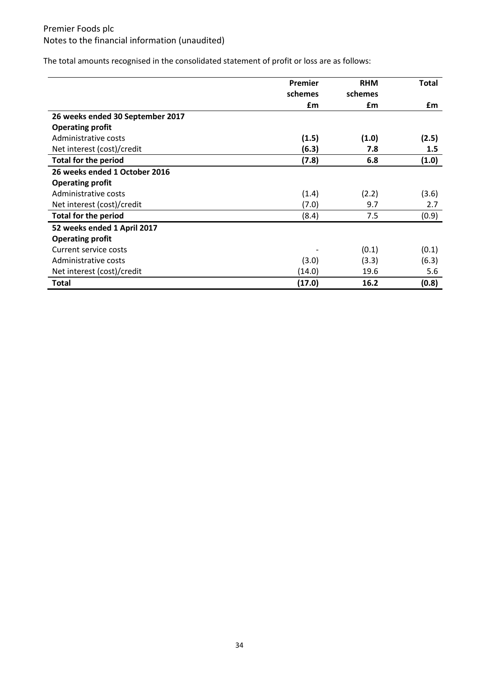The total amounts recognised in the consolidated statement of profit or loss are as follows:

|                                  | Premier | <b>RHM</b> | <b>Total</b> |
|----------------------------------|---------|------------|--------------|
|                                  | schemes | schemes    |              |
|                                  | £m      | £m         | £m           |
| 26 weeks ended 30 September 2017 |         |            |              |
| <b>Operating profit</b>          |         |            |              |
| Administrative costs             | (1.5)   | (1.0)      | (2.5)        |
| Net interest (cost)/credit       | (6.3)   | 7.8        | 1.5          |
| <b>Total for the period</b>      | (7.8)   | 6.8        | (1.0)        |
| 26 weeks ended 1 October 2016    |         |            |              |
| <b>Operating profit</b>          |         |            |              |
| Administrative costs             | (1.4)   | (2.2)      | (3.6)        |
| Net interest (cost)/credit       | (7.0)   | 9.7        | 2.7          |
| <b>Total for the period</b>      | (8.4)   | 7.5        | (0.9)        |
| 52 weeks ended 1 April 2017      |         |            |              |
| <b>Operating profit</b>          |         |            |              |
| Current service costs            |         | (0.1)      | (0.1)        |
| Administrative costs             | (3.0)   | (3.3)      | (6.3)        |
| Net interest (cost)/credit       | (14.0)  | 19.6       | 5.6          |
| <b>Total</b>                     | (17.0)  | 16.2       | (0.8)        |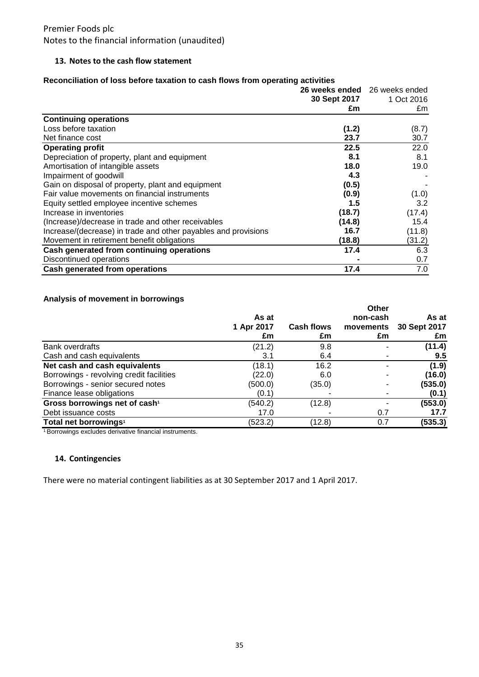#### **13. Notes to the cash flow statement**

#### **Reconciliation of loss before taxation to cash flows from operating activities**

|                                                                | 26 weeks ended 26 weeks ended |                  |  |
|----------------------------------------------------------------|-------------------------------|------------------|--|
|                                                                | 30 Sept 2017<br>£m            | 1 Oct 2016<br>£m |  |
| <b>Continuing operations</b>                                   |                               |                  |  |
| Loss before taxation                                           | (1.2)                         | (8.7)            |  |
| Net finance cost                                               | 23.7                          | 30.7             |  |
| <b>Operating profit</b>                                        | 22.5                          | 22.0             |  |
| Depreciation of property, plant and equipment                  | 8.1                           | 8.1              |  |
| Amortisation of intangible assets                              | 18.0                          | 19.0             |  |
| Impairment of goodwill                                         | 4.3                           |                  |  |
| Gain on disposal of property, plant and equipment              | (0.5)                         |                  |  |
| Fair value movements on financial instruments                  | (0.9)                         | (1.0)            |  |
| Equity settled employee incentive schemes                      | 1.5                           | 3.2              |  |
| Increase in inventories                                        | (18.7)                        | (17.4)           |  |
| (Increase)/decrease in trade and other receivables             | (14.8)                        | 15.4             |  |
| Increase/(decrease) in trade and other payables and provisions | 16.7                          | (11.8)           |  |
| Movement in retirement benefit obligations                     | (18.8)                        | (31.2)           |  |
| Cash generated from continuing operations                      | 17.4                          | 6.3              |  |
| Discontinued operations                                        |                               | 0.7              |  |
| Cash generated from operations                                 | 17.4                          | 7.0              |  |

### **Analysis of movement in borrowings**

|                                           | As at<br>1 Apr 2017<br>£m | <b>Cash flows</b><br>£m | Other<br>non-cash<br>movements<br>£m | As at<br>30 Sept 2017<br>£m |
|-------------------------------------------|---------------------------|-------------------------|--------------------------------------|-----------------------------|
| Bank overdrafts                           | (21.2)                    | 9.8                     |                                      | (11.4)                      |
| Cash and cash equivalents                 | 3.1                       | 6.4                     |                                      | 9.5                         |
| Net cash and cash equivalents             | (18.1)                    | 16.2                    |                                      | (1.9)                       |
| Borrowings - revolving credit facilities  | (22.0)                    | 6.0                     |                                      | (16.0)                      |
| Borrowings - senior secured notes         | (500.0)                   | (35.0)                  |                                      | (535.0)                     |
| Finance lease obligations                 | (0.1)                     |                         |                                      | (0.1)                       |
| Gross borrowings net of cash <sup>1</sup> | (540.2)                   | (12.8)                  |                                      | (553.0)                     |
| Debt issuance costs                       | 17.0                      |                         | 0.7                                  | 17.7                        |
| Total net borrowings <sup>1</sup>         | (523.2)                   | (12.8)                  | 0.7                                  | (535.3)                     |

<sup>1</sup> Borrowings excludes derivative financial instruments.

#### **14. Contingencies**

There were no material contingent liabilities as at 30 September 2017 and 1 April 2017.